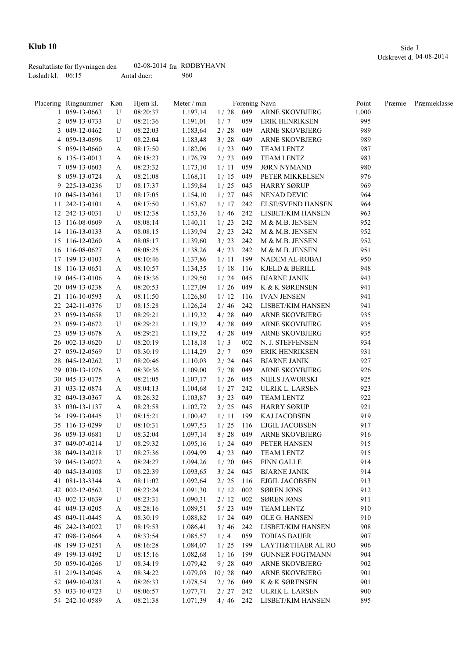|                   | Resultatliste for flyvningen den | 02-08-2014 $fra$ RØDBYHAVN |     |
|-------------------|----------------------------------|----------------------------|-----|
| Løsladt kl. 06:15 |                                  | Antal duer:                | 960 |

|    | Placering Ringnummer | <u>Køn</u> | Hjem kl. | Meter / min |            |     | Forening Navn            | Point | Præmie | Præmieklasse |
|----|----------------------|------------|----------|-------------|------------|-----|--------------------------|-------|--------|--------------|
|    | 1 059-13-0663        | U          | 08:20:37 | 1.197,14    | $1/28$ 049 |     | <b>ARNE SKOVBJERG</b>    | 1.000 |        |              |
|    | 2 059-13-0733        | U          | 08:21:36 | 1.191,01    | 1/7        | 059 | <b>ERIK HENRIKSEN</b>    | 995   |        |              |
|    | 3 049-12-0462        | U          | 08:22:03 | 1.183,64    | 2/28       | 049 | <b>ARNE SKOVBJERG</b>    | 989   |        |              |
|    | 4 059-13-0696        | U          | 08:22:04 | 1.183,48    | 3/28       | 049 | <b>ARNE SKOVBJERG</b>    | 989   |        |              |
|    | 5 059-13-0660        | A          | 08:17:50 | 1.182,06    | 1/23       | 049 | <b>TEAM LENTZ</b>        | 987   |        |              |
|    | 6 135-13-0013        | A          | 08:18:23 | 1.176,79    | 2/23       | 049 | <b>TEAM LENTZ</b>        | 983   |        |              |
|    | 7 059-13-0603        | A          | 08:23:32 | 1.173,10    | 1/11       | 059 | <b>JØRN NYMAND</b>       | 980   |        |              |
|    | 8 059-13-0724        | A          | 08:21:08 | 1.168,11    | 1/15       | 049 | PETER MIKKELSEN          | 976   |        |              |
| 9. | 225-13-0236          | U          | 08:17:37 | 1.159,84    | 1/25       | 045 | <b>HARRY SØRUP</b>       | 969   |        |              |
|    | 10 045-13-0361       | U          | 08:17:05 | 1.154,10    | 1/27       | 045 | NENAD DEVIC              | 964   |        |              |
|    | 11 242-13-0101       | A          | 08:17:50 | 1.153,67    | 1/17       | 242 | <b>ELSE/SVEND HANSEN</b> | 964   |        |              |
|    | 12 242-13-0031       | U          | 08:12:38 | 1.153,36    | 1/46       | 242 | LISBET/KIM HANSEN        | 963   |        |              |
|    | 13 116-08-0609       | A          | 08:08:14 | 1.140,11    | 1/23       | 242 | M & M.B. JENSEN          | 952   |        |              |
|    | 14 116-13-0133       | A          | 08:08:15 | 1.139,94    | 2/23       | 242 | M & M.B. JENSEN          | 952   |        |              |
|    | 15 116-12-0260       | A          | 08:08:17 | 1.139,60    | 3/23       | 242 | M & M.B. JENSEN          | 952   |        |              |
|    | 16 116-08-0627       | A          | 08:08:25 | 1.138,26    | 4/23       | 242 | M & M.B. JENSEN          | 951   |        |              |
|    | 17 199-13-0103       | A          | 08:10:46 | 1.137,86    | 1/11       | 199 | NADEM AL-ROBAI           | 950   |        |              |
|    | 18 116-13-0651       | A          | 08:10:57 | 1.134,35    | 1/18       | 116 | KJELD & BERILL           | 948   |        |              |
|    | 19 045-13-0106       | A          | 08:18:36 | 1.129,50    | 1/24       | 045 | <b>BJARNE JANIK</b>      | 943   |        |              |
|    | 20 049-13-0238       | A          | 08:20:53 | 1.127,09    | 1/26       | 049 | K & K SØRENSEN           | 941   |        |              |
|    | 21 116-10-0593       | A          | 08:11:50 | 1.126,80    | 1/12       | 116 | <b>IVAN JENSEN</b>       | 941   |        |              |
|    | 22 242-11-0376       | U          | 08:15:28 | 1.126,24    | 2/46       | 242 | LISBET/KIM HANSEN        | 941   |        |              |
|    | 23 059-13-0658       | U          | 08:29:21 | 1.119,32    | 4/28       | 049 | ARNE SKOVBJERG           | 935   |        |              |
|    | 23 059-13-0672       | U          | 08:29:21 | 1.119,32    | 4 / 28     | 049 | ARNE SKOVBJERG           | 935   |        |              |
|    | 23 059-13-0678       | A          | 08:29:21 | 1.119,32    | 4 / 28     | 049 | ARNE SKOVBJERG           | 935   |        |              |
|    | 26 002-13-0620       | U          | 08:20:19 | 1.118,18    | 1/3        | 002 | N. J. STEFFENSEN         | 934   |        |              |
|    | 27 059-12-0569       | U          | 08:30:19 | 1.114,29    | 2/7        | 059 | <b>ERIK HENRIKSEN</b>    | 931   |        |              |
|    | 28 045-12-0262       | U          | 08:20:46 | 1.110,03    | 2/24       | 045 | <b>BJARNE JANIK</b>      | 927   |        |              |
|    | 29 030-13-1076       | A          | 08:30:36 | 1.109,00    | 7/28       | 049 | <b>ARNE SKOVBJERG</b>    | 926   |        |              |
|    | 30 045-13-0175       | A          | 08:21:05 | 1.107,17    | 1/26       | 045 | NIELS JAWORSKI           | 925   |        |              |
|    | 31 033-12-0874       | A          | 08:04:13 | 1.104,68    | 1/27       | 242 | ULRIK L. LARSEN          | 923   |        |              |
|    | 32 049-13-0367       | A          | 08:26:32 | 1.103,87    | 3/23       | 049 | TEAM LENTZ               | 922   |        |              |
|    | 33 030-13-1137       | A          | 08:23:58 | 1.102,72    | 2/25       | 045 | <b>HARRY SØRUP</b>       | 921   |        |              |
|    | 34 199-13-0445       | U          | 08:15:21 | 1.100,47    | 1/11       | 199 | KAJ JACOBSEN             | 919   |        |              |
|    | 35 116-13-0299       | U          | 08:10:31 | 1.097,53    | 1/25       | 116 | <b>EJGIL JACOBSEN</b>    | 917   |        |              |
|    | 36 059-13-0681       | U          | 08:32:04 | 1.097,14    | 8/28       | 049 | <b>ARNE SKOVBJERG</b>    | 916   |        |              |
|    | 37 049-07-0214       | U          | 08:29:32 | 1.095,16    | $1/24$ 049 |     | PETER HANSEN             | 915   |        |              |
|    | 38 049-13-0218       | U          | 08:27:36 | 1.094,99    | 4/23       | 049 | TEAM LENTZ               | 915   |        |              |
|    | 39 045-13-0072       | A          | 08:24:27 | 1.094,26    | 1/20       | 045 | <b>FINN GALLE</b>        | 914   |        |              |
|    | 40 045-13-0108       | U          | 08:22:39 | 1.093,65    | 3/24       | 045 | <b>BJARNE JANIK</b>      | 914   |        |              |
|    | 41 081-13-3344       | A          | 08:11:02 | 1.092,64    | 2/25       | 116 | <b>EJGIL JACOBSEN</b>    | 913   |        |              |
|    | 42 002-12-0562       | U          | 08:23:24 | 1.091,30    | 1/12       | 002 | <b>SØREN JØNS</b>        | 912   |        |              |
|    | 43 002-13-0639       | U          | 08:23:31 | 1.090,31    | 2/12       | 002 | <b>SØREN JØNS</b>        | 911   |        |              |
|    | 44 049-13-0205       | A          | 08:28:16 | 1.089,51    | $5/23$     | 049 | TEAM LENTZ               | 910   |        |              |
|    | 45 049-11-0445       | A          | 08:30:19 | 1.088,82    | 1/24       | 049 | OLE G. HANSEN            | 910   |        |              |
|    | 46 242-13-0022       | U          | 08:19:53 | 1.086,41    | 3/46       | 242 | LISBET/KIM HANSEN        | 908   |        |              |
|    | 47 098-13-0664       | A          | 08:33:54 | 1.085,57    | 1/4        | 059 | <b>TOBIAS BAUER</b>      | 907   |        |              |
|    | 48 199-13-0251       | A          | 08:16:28 | 1.084,07    | 1/25       | 199 | LAYTH&THAER AL RO        | 906   |        |              |
|    | 49 199-13-0492       | U          | 08:15:16 | 1.082,68    | 1/16       | 199 | <b>GUNNER FOGTMANN</b>   | 904   |        |              |
|    | 50 059-10-0266       | U          | 08:34:19 | 1.079,42    | 9/28       | 049 | ARNE SKOVBJERG           | 902   |        |              |
|    | 51 219-13-0046       | A          | 08:34:22 | 1.079,03    | 10/28      | 049 | ARNE SKOVBJERG           | 901   |        |              |
|    | 52 049-10-0281       | A          | 08:26:33 | 1.078,54    | 2/26       | 049 | K & K SØRENSEN           | 901   |        |              |
|    | 53 033-10-0723       | U          | 08:06:57 | 1.077,71    | 2/27       | 242 | ULRIK L. LARSEN          | 900   |        |              |
|    | 54 242-10-0589       | A          | 08:21:38 | 1.071,39    | 4/46       | 242 | LISBET/KIM HANSEN        | 895   |        |              |
|    |                      |            |          |             |            |     |                          |       |        |              |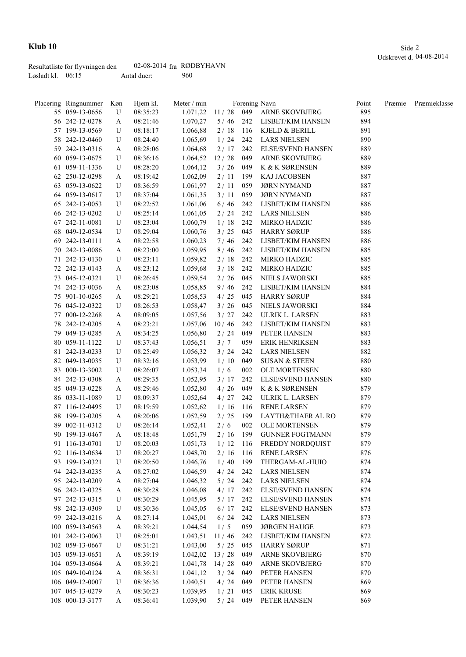|                   | Resultatliste for flyvningen den | 02-08-2014 $fra$ RØDBYHAVN |     |
|-------------------|----------------------------------|----------------------------|-----|
| Løsladt kl. 06:15 |                                  | Antal duer:                | 960 |

|    | Placering Ringnummer Køn |   | Hjem kl. | Meter / min          |            |     | Forening Navn              | Point | Præmie | Præmieklasse |
|----|--------------------------|---|----------|----------------------|------------|-----|----------------------------|-------|--------|--------------|
|    | 55 059-13-0656           | U | 08:35:23 | 1.071,22             |            |     | 11 / 28 049 ARNE SKOVBJERG | 895   |        |              |
|    | 56 242-12-0278           | A | 08:21:46 | 1.070,27             | 5/46       |     | 242 LISBET/KIM HANSEN      | 894   |        |              |
|    | 57 199-13-0569           | U | 08:18:17 | 1.066,88             | 2/18       | 116 | KJELD & BERILL             | 891   |        |              |
|    | 58 242-12-0460           | U | 08:24:40 | 1.065,69             | 1/24       | 242 | <b>LARS NIELSEN</b>        | 890   |        |              |
|    | 59 242-13-0316           | A | 08:28:06 | 1.064,68             | 2/17       | 242 | <b>ELSE/SVEND HANSEN</b>   | 889   |        |              |
|    | 60 059-13-0675           | U | 08:36:16 | 1.064,52             | 12/28      | 049 | <b>ARNE SKOVBJERG</b>      | 889   |        |              |
| 61 | 059-11-1336              | U | 08:28:20 | 1.064,12             | 3/26       | 049 | K & K SØRENSEN             | 889   |        |              |
|    | 62 250-12-0298           | A | 08:19:42 | 1.062,09             | 2/11       | 199 | KAJ JACOBSEN               | 887   |        |              |
|    | 63 059-13-0622           | U | 08:36:59 | 1.061,97             | 2/11       | 059 | <b>JØRN NYMAND</b>         | 887   |        |              |
|    | 64 059-13-0617           | U | 08:37:04 | 1.061,35             | 3/11       | 059 | <b>JØRN NYMAND</b>         | 887   |        |              |
|    | 65 242-13-0053           | U | 08:22:52 | 1.061,06             | 6/46       | 242 | LISBET/KIM HANSEN          | 886   |        |              |
|    | 66 242-13-0202           | U | 08:25:14 | 1.061,05             | 2/24       | 242 | <b>LARS NIELSEN</b>        | 886   |        |              |
|    | 67 242-11-0081           | U | 08:23:04 | 1.060,79             | $1/18$ 242 |     | MIRKO HADZIC               | 886   |        |              |
|    | 68 049-12-0534           | U | 08:29:04 | 1.060,76             | 3/25       | 045 | <b>HARRY SØRUP</b>         | 886   |        |              |
|    | 69 242-13-0111           | A | 08:22:58 | 1.060,23             | 7/46       | 242 | LISBET/KIM HANSEN          | 886   |        |              |
|    | 70 242-13-0086           | A | 08:23:00 | 1.059,95             | 8/46       | 242 | LISBET/KIM HANSEN          | 885   |        |              |
|    | 71 242-13-0130           | U | 08:23:11 | 1.059,82             | 2/18       | 242 | MIRKO HADZIC               | 885   |        |              |
|    | 72 242-13-0143           | A | 08:23:12 | 1.059,68             | 3/18       | 242 | MIRKO HADZIC               | 885   |        |              |
|    | 73 045-12-0321           | U | 08:26:45 | 1.059,54             | 2/26       | 045 | NIELS JAWORSKI             | 885   |        |              |
|    | 74 242-13-0036           | A | 08:23:08 | 1.058,85             | 9/46       | 242 | LISBET/KIM HANSEN          | 884   |        |              |
|    | 75 901-10-0265           | A | 08:29:21 | 1.058,53             | 4/25       | 045 | <b>HARRY SØRUP</b>         | 884   |        |              |
|    | 76 045-12-0322           | U | 08:26:53 | 1.058,47             | 3/26       | 045 | NIELS JAWORSKI             | 884   |        |              |
|    | 77 000-12-2268           | A | 08:09:05 | 1.057,56             | 3/27       | 242 | ULRIK L. LARSEN            | 883   |        |              |
|    | 78 242-12-0205           | A | 08:23:21 | 1.057,06             | 10/46      | 242 | LISBET/KIM HANSEN          | 883   |        |              |
|    | 79 049-13-0285           | A | 08:34:25 | 1.056,80             | 2/24       | 049 | PETER HANSEN               | 883   |        |              |
|    | 80 059-11-1122           | U | 08:37:43 | 1.056,51             | 3/7        | 059 | <b>ERIK HENRIKSEN</b>      | 883   |        |              |
|    | 81 242-13-0233           | U | 08:25:49 | 1.056,32             | 3/24       | 242 | <b>LARS NIELSEN</b>        | 882   |        |              |
|    | 82 049-13-0035           | U | 08:32:16 | 1.053,99             | 1/10       | 049 | <b>SUSAN &amp; STEEN</b>   | 880   |        |              |
|    | 83 000-13-3002           | U | 08:26:07 | 1.053,34             | 1/6        | 002 | OLE MORTENSEN              | 880   |        |              |
|    | 84 242-13-0308           | A | 08:29:35 | 1.052,95             | 3/17       | 242 | <b>ELSE/SVEND HANSEN</b>   | 880   |        |              |
|    | 85 049-13-0228           | A | 08:29:46 | 1.052,80             | 4/26       | 049 | K & K SØRENSEN             | 879   |        |              |
|    | 86 033-11-1089           | U | 08:09:37 | 1.052,64             | 4/27       | 242 | ULRIK L. LARSEN            | 879   |        |              |
|    | 87 116-12-0495           | U | 08:19:59 | 1.052,62             | 1/16       | 116 | <b>RENE LARSEN</b>         | 879   |        |              |
|    | 88 199-13-0205           | A | 08:20:06 | 1.052,59             | 2/25       | 199 | LAYTH&THAER AL RO          | 879   |        |              |
|    | 89 002-11-0312           | U | 08:26:14 |                      | 2/6        | 002 | <b>OLE MORTENSEN</b>       | 879   |        |              |
|    | 90 199-13-0467           | A | 08:18:48 | 1.052,41<br>1.051,79 | 2/16       | 199 | <b>GUNNER FOGTMANN</b>     | 879   |        |              |
|    | 91 116-13-0701           | U | 08:20:03 | 1.051,73             | 1/12       |     | 116 FREDDY NORDQUIST       | 879   |        |              |
|    | 92 116-13-0634           | U | 08:20:27 | 1.048,70             | 2/16       | 116 | <b>RENE LARSEN</b>         | 876   |        |              |
|    | 93 199-13-0321           |   | 08:20:50 | 1.046,76             | 1/40       | 199 | THERGAM-AL-HUIO            | 874   |        |              |
|    | 94 242-13-0235           | U | 08:27:02 | 1.046,59             | 4/24       | 242 | <b>LARS NIELSEN</b>        | 874   |        |              |
|    | 95 242-13-0209           | A | 08:27:04 | 1.046,32             | 5/24       | 242 | <b>LARS NIELSEN</b>        | 874   |        |              |
|    | 96 242-13-0325           | A | 08:30:28 | 1.046,08             |            |     | <b>ELSE/SVEND HANSEN</b>   | 874   |        |              |
|    | 97 242-13-0315           | A | 08:30:29 | 1.045,95             | 4/17       | 242 | <b>ELSE/SVEND HANSEN</b>   | 874   |        |              |
|    | 98 242-13-0309           | U |          |                      | $5/17$ 242 |     | <b>ELSE/SVEND HANSEN</b>   |       |        |              |
|    |                          | U | 08:30:36 | 1.045,05             | 6/17       | 242 |                            | 873   |        |              |
|    | 99 242-13-0216           | A | 08:27:14 | 1.045,01             | 6/24       | 242 | <b>LARS NIELSEN</b>        | 873   |        |              |
|    | 100 059-13-0563          | A | 08:39:21 | 1.044,54             | 1/5        | 059 | <b>JØRGEN HAUGE</b>        | 873   |        |              |
|    | 101 242-13-0063          | U | 08:25:01 | 1.043,51             | 11/46      | 242 | LISBET/KIM HANSEN          | 872   |        |              |
|    | 102 059-13-0667          | U | 08:31:21 | 1.043,00             | $5/25$     | 045 | <b>HARRY SØRUP</b>         | 871   |        |              |
|    | 103 059-13-0651          | A | 08:39:19 | 1.042,02             | 13/28      | 049 | ARNE SKOVBJERG             | 870   |        |              |
|    | 104 059-13-0664          | A | 08:39:21 | 1.041,78             | 14/28      | 049 | ARNE SKOVBJERG             | 870   |        |              |
|    | 105 049-10-0124          | A | 08:36:31 | 1.041,12             | 3/24       | 049 | PETER HANSEN               | 870   |        |              |
|    | 106 049-12-0007          | U | 08:36:36 | 1.040,51             | 4 / 24     | 049 | PETER HANSEN               | 869   |        |              |
|    | 107 045-13-0279          | A | 08:30:23 | 1.039,95             | 1/21       | 045 | <b>ERIK KRUSE</b>          | 869   |        |              |
|    | 108 000-13-3177          | A | 08:36:41 | 1.039,90             | 5/24       | 049 | PETER HANSEN               | 869   |        |              |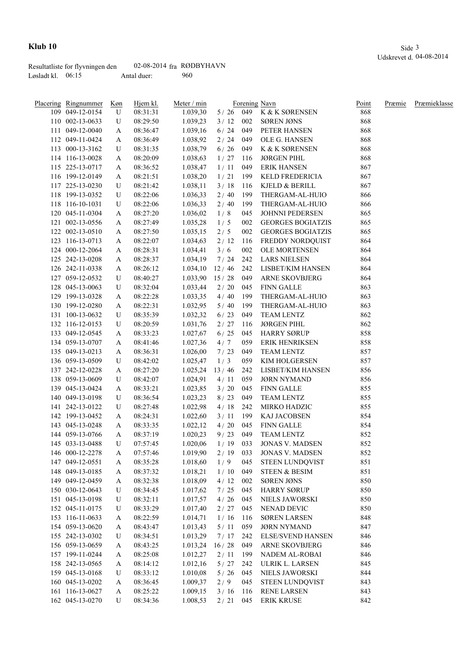|                     | Resultatliste for flyvningen den | 02-08-2014 $fra$ RØDBYHAVN |     |
|---------------------|----------------------------------|----------------------------|-----|
| Løsladt kl. $06:15$ |                                  | Antal duer:                | 960 |

| Placering Ringnummer | Køn | Hjem kl. | Meter / min |            |     | Forening Navn            | Point | Præmie | Præmieklasse |
|----------------------|-----|----------|-------------|------------|-----|--------------------------|-------|--------|--------------|
| 109 049-12-0154      | U   | 08:31:31 | 1.039,30    |            |     | 5/26 049 K & K SØRENSEN  | 868   |        |              |
| 110 002-13-0633      | U   | 08:29:50 | 1.039,23    | 3/12       | 002 | SØREN JØNS               | 868   |        |              |
| 111 049-12-0040      | A   | 08:36:47 | 1.039,16    | 6/24       | 049 | PETER HANSEN             | 868   |        |              |
| 112 049-11-0424      | A   | 08:36:49 | 1.038,92    | 2/24       | 049 | OLE G. HANSEN            | 868   |        |              |
| 113 000-13-3162      | U   | 08:31:35 | 1.038,79    | 6/26       | 049 | K & K SØRENSEN           | 868   |        |              |
| 114 116-13-0028      | A   | 08:20:09 | 1.038,63    | 1/27       | 116 | <b>JØRGEN PIHL</b>       | 868   |        |              |
| 115 225-13-0717      | A   | 08:36:52 | 1.038,47    | 1/11       | 049 | <b>ERIK HANSEN</b>       | 867   |        |              |
| 116 199-12-0149      | A   | 08:21:51 | 1.038,20    | 1/21       | 199 | KELD FREDERICIA          | 867   |        |              |
| 117 225-13-0230      | U   | 08:21:42 | 1.038,11    | 3/18       | 116 | KJELD & BERILL           | 867   |        |              |
| 118 199-13-0352      | U   | 08:22:06 | 1.036,33    | 2/40       | 199 | THERGAM-AL-HUIO          | 866   |        |              |
| 118 116-10-1031      | U   | 08:22:06 | 1.036,33    | 2/40       | 199 | THERGAM-AL-HUIO          | 866   |        |              |
| 120 045-11-0304      | A   | 08:27:20 | 1.036,02    | 1/8        | 045 | JOHNNI PEDERSEN          | 865   |        |              |
| 121 002-13-0556      | A   | 08:27:49 | 1.035,28    | 1/5        | 002 | <b>GEORGES BOGIATZIS</b> | 865   |        |              |
| 122 002-13-0510      | A   | 08:27:50 | 1.035,15    | 2/5        | 002 | <b>GEORGES BOGIATZIS</b> | 865   |        |              |
| 123 116-13-0713      | A   | 08:22:07 | 1.034,63    | 2/12       | 116 | FREDDY NORDQUIST         | 864   |        |              |
| 124 000-12-2064      | A   | 08:28:31 | 1.034,41    | 3/6        | 002 | OLE MORTENSEN            | 864   |        |              |
| 125 242-13-0208      | A   | 08:28:37 | 1.034,19    | 7/24       | 242 | <b>LARS NIELSEN</b>      | 864   |        |              |
| 126 242-11-0338      | A   | 08:26:12 | 1.034,10    | 12/46      | 242 | LISBET/KIM HANSEN        | 864   |        |              |
| 127 059-12-0532      | U   | 08:40:27 | 1.033,90    | 15/28      | 049 | ARNE SKOVBJERG           | 864   |        |              |
| 128 045-13-0063      | U   | 08:32:04 | 1.033,44    | 2/20       | 045 | <b>FINN GALLE</b>        | 863   |        |              |
| 129 199-13-0328      | A   | 08:22:28 | 1.033,35    | 4/40       | 199 | THERGAM-AL-HUIO          | 863   |        |              |
| 130 199-12-0280      | A   | 08:22:31 | 1.032,95    | 5/40       | 199 | THERGAM-AL-HUIO          | 863   |        |              |
| 131 100-13-0632      | U   | 08:35:39 | 1.032,32    | $6/23$     | 049 | TEAM LENTZ               | 862   |        |              |
| 132 116-12-0153      | U   | 08:20:59 |             | 2/27       | 116 | <b>JØRGEN PIHL</b>       | 862   |        |              |
|                      |     |          | 1.031,76    |            |     |                          | 858   |        |              |
| 133 049-12-0545      | A   | 08:33:23 | 1.027,67    | $6/25$     | 045 | <b>HARRY SØRUP</b>       | 858   |        |              |
| 134 059-13-0707      | A   | 08:41:46 | 1.027,36    | 4/7        | 059 | <b>ERIK HENRIKSEN</b>    |       |        |              |
| 135 049-13-0213      | A   | 08:36:31 | 1.026,00    | 7/23       | 049 | <b>TEAM LENTZ</b>        | 857   |        |              |
| 136 059-13-0509      | U   | 08:42:02 | 1.025,47    | 1/3        | 059 | KIM HOLGERSEN            | 857   |        |              |
| 137 242-12-0228      | A   | 08:27:20 | 1.025,24    | 13/46      | 242 | LISBET/KIM HANSEN        | 856   |        |              |
| 138 059-13-0609      | U   | 08:42:07 | 1.024,91    | 4/11       | 059 | JØRN NYMAND              | 856   |        |              |
| 139 045-13-0424      | A   | 08:33:21 | 1.023,85    | 3/20       | 045 | <b>FINN GALLE</b>        | 855   |        |              |
| 140 049-13-0198      | U   | 08:36:54 | 1.023,23    | 8/23       | 049 | TEAM LENTZ               | 855   |        |              |
| 141 242-13-0122      | U   | 08:27:48 | 1.022,98    | 4/18       | 242 | MIRKO HADZIC             | 855   |        |              |
| 142 199-13-0452      | A   | 08:24:31 | 1.022,60    | 3/11       | 199 | KAJ JACOBSEN             | 854   |        |              |
| 143 045-13-0248      | A   | 08:33:35 | 1.022,12    | 4/20       | 045 | FINN GALLE               | 854   |        |              |
| 144 059-13-0766      | A   | 08:37:19 | 1.020,23    | 9/23       | 049 | <b>TEAM LENTZ</b>        | 852   |        |              |
| 145 033-13-0488      | U   | 07:57:45 | 1.020,06    | $1/19$ 033 |     | <b>JONAS V. MADSEN</b>   | 852   |        |              |
| 146 000-12-2278      | A   | 07:57:46 | 1.019,90    | 2/19       | 033 | <b>JONAS V. MADSEN</b>   | 852   |        |              |
| 147 049-12-0551      | A   | 08:35:28 | 1.018,60    | 1/9        | 045 | <b>STEEN LUNDQVIST</b>   | 851   |        |              |
| 148 049-13-0185      | A   | 08:37:32 | 1.018,21    | 1/10       | 049 | STEEN & BESIM            | 851   |        |              |
| 149 049-12-0459      | A   | 08:32:38 | 1.018,09    | 4/12       | 002 | SØREN JØNS               | 850   |        |              |
| 150 030-12-0643      | U   | 08:34:45 | 1.017,62    | 7/25       | 045 | <b>HARRY SØRUP</b>       | 850   |        |              |
| 151 045-13-0198      | U   | 08:32:11 | 1.017,57    | 4/26       | 045 | NIELS JAWORSKI           | 850   |        |              |
| 152 045-11-0175      | U   | 08:33:29 | 1.017,40    | 2/27       | 045 | NENAD DEVIC              | 850   |        |              |
| 153 116-11-0633      | A   | 08:22:59 | 1.014,71    | 1/16       | 116 | <b>SØREN LARSEN</b>      | 848   |        |              |
| 154 059-13-0620      | A   | 08:43:47 | 1.013,43    | 5/11       | 059 | <b>JØRN NYMAND</b>       | 847   |        |              |
| 155 242-13-0302      | U   | 08:34:51 | 1.013,29    | 7/17       | 242 | <b>ELSE/SVEND HANSEN</b> | 846   |        |              |
| 156 059-13-0659      | A   | 08:43:25 | 1.013,24    | 16/28      | 049 | ARNE SKOVBJERG           | 846   |        |              |
| 157 199-11-0244      | A   | 08:25:08 | 1.012,27    | 2/11       | 199 | NADEM AL-ROBAI           | 846   |        |              |
| 158 242-13-0565      | A   | 08:14:12 | 1.012,16    | 5/27       | 242 | ULRIK L. LARSEN          | 845   |        |              |
| 159 045-13-0168      | U   | 08:33:12 | 1.010,08    | 5/26       | 045 | NIELS JAWORSKI           | 844   |        |              |
| 160 045-13-0202      | A   | 08:36:45 | 1.009,37    | 2/9        | 045 | STEEN LUNDQVIST          | 843   |        |              |
| 161 116-13-0627      | A   | 08:25:22 | 1.009,15    | 3/16       | 116 | <b>RENE LARSEN</b>       | 843   |        |              |
| 162 045-13-0270      | U   | 08:34:36 | 1.008,53    | 2/21       | 045 | <b>ERIK KRUSE</b>        | 842   |        |              |
|                      |     |          |             |            |     |                          |       |        |              |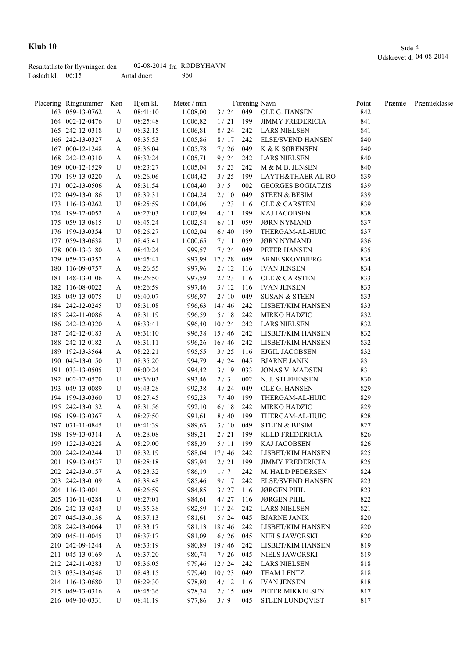|                   | Resultatliste for flyvningen den | 02-08-2014 $fra$ RØDBYHAVN |     |
|-------------------|----------------------------------|----------------------------|-----|
| Løsladt kl. 06:15 |                                  | Antal duer:                | 960 |

| Placering Ringnummer               | Køn | Hjem kl. | Meter / min |              |            | Forening Navn                     | Point | Præmie | Præmieklasse |
|------------------------------------|-----|----------|-------------|--------------|------------|-----------------------------------|-------|--------|--------------|
| 163 059-13-0762                    | A   | 08:41:10 | 1.008,00    |              |            | 3 / 24 049 OLE G. HANSEN          | 842   |        |              |
| 164 002-12-0476                    | U   | 08:25:48 | 1.006,82    | 1/21         | 199        | <b>JIMMY FREDERICIA</b>           | 841   |        |              |
| 165 242-12-0318                    | U   | 08:32:15 | 1.006,81    | 8/24         |            | 242 LARS NIELSEN                  | 841   |        |              |
| 166 242-13-0327                    | A   | 08:35:53 | 1.005,86    | 8/17         | 242        | <b>ELSE/SVEND HANSEN</b>          | 840   |        |              |
| 167 000-12-1248                    | A   | 08:36:04 | 1.005,78    | 7/26         | 049        | K & K SØRENSEN                    | 840   |        |              |
| 168 242-12-0310                    | A   | 08:32:24 | 1.005,71    | 9/24         | 242        | <b>LARS NIELSEN</b>               | 840   |        |              |
| 169 000-12-1529                    | U   | 08:23:27 | 1.005,04    | 5/23         | 242        | M & M.B. JENSEN                   | 840   |        |              |
| 170 199-13-0220                    | A   | 08:26:06 | 1.004,42    | 3/25         | 199        | LAYTH&THAER AL RO                 | 839   |        |              |
| 171 002-13-0506                    | A   | 08:31:54 | 1.004,40    | 3/5          | 002        | <b>GEORGES BOGIATZIS</b>          | 839   |        |              |
| 172 049-13-0186                    | U   | 08:39:31 | 1.004,24    | 2/10         | 049        | <b>STEEN &amp; BESIM</b>          | 839   |        |              |
| 173 116-13-0262                    | U   | 08:25:59 | 1.004,06    | 1/23         | 116        | <b>OLE &amp; CARSTEN</b>          | 839   |        |              |
| 174 199-12-0052                    | A   | 08:27:03 | 1.002,99    | 4/11         | 199        | KAJ JACOBSEN                      | 838   |        |              |
| 175 059-13-0615                    | U   | 08:45:24 | 1.002,54    | 6/11         | 059        | <b>JØRN NYMAND</b>                | 837   |        |              |
| 176 199-13-0354                    | U   | 08:26:27 | 1.002,04    | 6/40         | 199        | THERGAM-AL-HUIO                   | 837   |        |              |
| 177 059-13-0638                    | U   | 08:45:41 | 1.000,65    | 7/11         | 059        | <b>JØRN NYMAND</b>                | 836   |        |              |
| 178 000-13-3180                    | A   | 08:42:24 | 999,57      | 7/24         | 049        | PETER HANSEN                      | 835   |        |              |
| 179 059-13-0352                    | A   | 08:45:41 | 997,99      | 17/28        | 049        | <b>ARNE SKOVBJERG</b>             | 834   |        |              |
| 180 116-09-0757                    | A   | 08:26:55 | 997,96      | 2/12         | 116        | <b>IVAN JENSEN</b>                | 834   |        |              |
| 181 148-13-0106                    | A   | 08:26:50 | 997,59      | 2/23         | 116        | OLE & CARSTEN                     | 833   |        |              |
| 182 116-08-0022                    | A   | 08:26:59 | 997,46      | 3/12         | 116        | <b>IVAN JENSEN</b>                | 833   |        |              |
| 183 049-13-0075                    | U   | 08:40:07 | 996,97      | 2/10         | 049        | <b>SUSAN &amp; STEEN</b>          | 833   |        |              |
| 184 242-12-0245                    | U   | 08:31:08 | 996,63      | 14/46        | 242        | LISBET/KIM HANSEN                 | 833   |        |              |
| 185 242-11-0086                    | A   | 08:31:19 | 996,59      | 5/18         | 242        | MIRKO HADZIC                      | 832   |        |              |
| 186 242-12-0320                    | A   | 08:33:41 | 996,40      | 10/24        | 242        | <b>LARS NIELSEN</b>               | 832   |        |              |
| 187 242-12-0183                    | A   | 08:31:10 | 996,38      | 15/46        | 242        | LISBET/KIM HANSEN                 | 832   |        |              |
| 188 242-12-0182                    | A   | 08:31:11 | 996,26      | 16/46        | 242        | LISBET/KIM HANSEN                 | 832   |        |              |
| 189 192-13-3564                    | A   | 08:22:21 | 995,55      | 3/25         | 116        | EJGIL JACOBSEN                    | 832   |        |              |
| 190 045-13-0150                    | U   | 08:35:20 | 994,79      | 4/24         | 045        | <b>BJARNE JANIK</b>               | 831   |        |              |
| 191 033-13-0505                    | U   | 08:00:24 | 994,42      | 3/19         | 033        | <b>JONAS V. MADSEN</b>            | 831   |        |              |
| 192 002-12-0570                    | U   | 08:36:03 | 993,46      | 2/3          | 002        | N. J. STEFFENSEN                  | 830   |        |              |
| 193 049-13-0089                    | U   | 08:43:28 | 992,38      | 4/24         | 049        | OLE G. HANSEN                     | 829   |        |              |
| 194 199-13-0360                    | U   | 08:27:45 | 992,23      | 7/40         | - 199      | THERGAM-AL-HUIO                   | 829   |        |              |
| 195 242-13-0132                    |     | 08:31:56 |             | 6/18         | 242        | MIRKO HADZIC                      | 829   |        |              |
| 196 199-13-0367                    | A   |          | 992,10      | 8/40         | 199        | THERGAM-AL-HUIO                   | 828   |        |              |
|                                    | A   | 08:27:50 | 991,61      |              |            |                                   |       |        |              |
| 197 071-11-0845                    | U   | 08:41:39 | 989,63      | 3/10         | 049        | <b>STEEN &amp; BESIM</b>          | 827   |        |              |
| 198 199-13-0314<br>199 122-13-0228 | A   | 08:28:08 | 989,21      | 2/21         | 199<br>199 | KELD FREDERICIA                   | 826   |        |              |
| 200 242-12-0244                    | A   | 08:29:00 | 988,39      | 5/11         |            | KAJ JACOBSEN<br>LISBET/KIM HANSEN | 826   |        |              |
|                                    | U   | 08:32:19 |             | 988,04 17/46 | 242        |                                   | 825   |        |              |
| 201 199-13-0437                    | U   | 08:28:18 | 987,94      | 2/21         | 199        | <b>JIMMY FREDERICIA</b>           | 825   |        |              |
| 202 242-13-0157                    | A   | 08:23:32 | 986,19      | 1/7          | 242        | M. HALD PEDERSEN                  | 824   |        |              |
| 203 242-13-0109                    | A   | 08:38:48 | 985,46      | 9/17         | 242        | <b>ELSE/SVEND HANSEN</b>          | 823   |        |              |
| 204 116-13-0011                    | A   | 08:26:59 | 984,85      | 3/27         | 116        | <b>JØRGEN PIHL</b>                | 823   |        |              |
| 205 116-11-0284                    | U   | 08:27:01 | 984,61      | 4/27         | 116        | <b>JØRGEN PIHL</b>                | 822   |        |              |
| 206 242-13-0243                    | U   | 08:35:38 | 982,59      | 11/24        | 242        | <b>LARS NIELSEN</b>               | 821   |        |              |
| 207 045-13-0136                    | A   | 08:37:13 | 981,61      | 5/24         | 045        | <b>BJARNE JANIK</b>               | 820   |        |              |
| 208 242-13-0064                    | U   | 08:33:17 | 981,13      | 18/46        | 242        | LISBET/KIM HANSEN                 | 820   |        |              |
| 209 045-11-0045                    | U   | 08:37:17 | 981,09      | $6/26$       | 045        | NIELS JAWORSKI                    | 820   |        |              |
| 210 242-09-1244                    | A   | 08:33:19 | 980,89      | 19/46        | 242        | LISBET/KIM HANSEN                 | 819   |        |              |
| 211 045-13-0169                    | A   | 08:37:20 | 980,74      | 7/26         | 045        | NIELS JAWORSKI                    | 819   |        |              |
| 212 242-11-0283                    | U   | 08:36:05 | 979,46      | 12/24        | 242        | <b>LARS NIELSEN</b>               | 818   |        |              |
| 213 033-13-0546                    | U   | 08:43:15 | 979,40      | 10/23        | 049        | TEAM LENTZ                        | 818   |        |              |
| 214 116-13-0680                    | U   | 08:29:30 | 978,80      | 4/12         | 116        | <b>IVAN JENSEN</b>                | 818   |        |              |
| 215 049-13-0316                    | A   | 08:45:36 | 978,34      | 2/15         | 049        | PETER MIKKELSEN                   | 817   |        |              |
| 216 049-10-0331                    | U   | 08:41:19 | 977,86      | 3/9          | 045        | STEEN LUNDQVIST                   | 817   |        |              |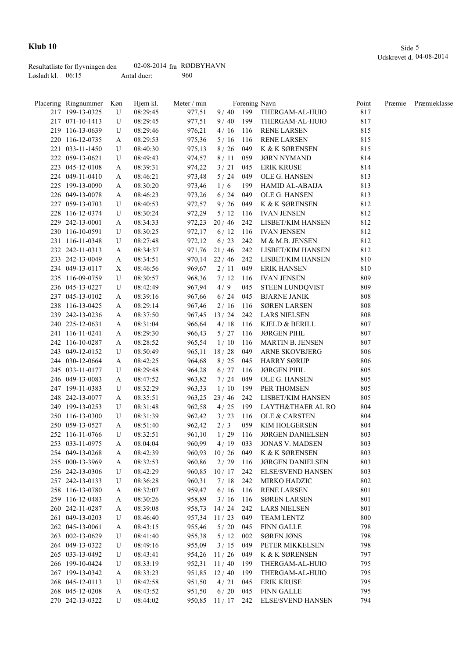|                     | Resultatliste for flyvningen den | 02-08-2014 $fra$ RØDBYHAVN |     |
|---------------------|----------------------------------|----------------------------|-----|
| Løsladt kl. $06:15$ |                                  | Antal duer:                | 960 |

| Placering Ringnummer | <u>Køn</u> | Hjem kl. | Meter / min |                    |       | Forening Navn            | Point | Præmie | Præmieklasse |
|----------------------|------------|----------|-------------|--------------------|-------|--------------------------|-------|--------|--------------|
| 217 199-13-0325      | U          | 08:29:45 | 977,51      | $9/40$ 199         |       | THERGAM-AL-HUIO          | 817   |        |              |
| 217 071-10-1413      | U          | 08:29:45 | 977,51      | 9/40               | 199   | THERGAM-AL-HUIO          | 817   |        |              |
| 219 116-13-0639      | U          | 08:29:46 | 976,21      | 4/16               | 116   | <b>RENE LARSEN</b>       | 815   |        |              |
| 220 116-12-0735      | A          | 08:29:53 | 975,36      | 5/16               | 116   | <b>RENE LARSEN</b>       | 815   |        |              |
| 221 033-11-1450      | U          | 08:40:30 | 975,13      | 8/26               | 049   | K & K SØRENSEN           | 815   |        |              |
| 222 059-13-0621      | U          | 08:49:43 | 974,57      | 8/11               | 059   | <b>JØRN NYMAND</b>       | 814   |        |              |
| 223 045-12-0108      | A          | 08:39:31 | 974,22      | 3/21               | 045   | <b>ERIK KRUSE</b>        | 814   |        |              |
| 224 049-11-0410      | A          | 08:46:21 | 973,48      | 5/24               | 049   | OLE G. HANSEN            | 813   |        |              |
| 225 199-13-0090      | A          | 08:30:20 | 973,46      | 1/6                | 199   | <b>HAMID AL-ABAIJA</b>   | 813   |        |              |
| 226 049-13-0078      | A          | 08:46:23 | 973,26      | 6/24               | 049   | OLE G. HANSEN            | 813   |        |              |
| 227 059-13-0703      | U          | 08:40:53 | 972,57      | 9/26               | 049   | K & K SØRENSEN           | 812   |        |              |
| 228 116-12-0374      | U          | 08:30:24 | 972,29      | 5/12               | - 116 | <b>IVAN JENSEN</b>       | 812   |        |              |
| 229 242-13-0001      | A          | 08:34:33 | 972,23      | 20/46              | 242   | LISBET/KIM HANSEN        | 812   |        |              |
| 230 116-10-0591      | U          | 08:30:25 | 972,17      | 6/12               | 116   | <b>IVAN JENSEN</b>       | 812   |        |              |
| 231 116-11-0348      | U          | 08:27:48 | 972,12      | 6/23               | 242   | M & M.B. JENSEN          | 812   |        |              |
| 232 242-11-0313      | A          | 08:34:37 | 971,76      | 21/46              | 242   | LISBET/KIM HANSEN        | 812   |        |              |
| 233 242-13-0049      | A          | 08:34:51 | 970,14      | 22/46              | 242   | LISBET/KIM HANSEN        | 810   |        |              |
| 234 049-13-0117      | X          | 08:46:56 | 969,67      | 2/11               | 049   | <b>ERIK HANSEN</b>       | 810   |        |              |
| 235 116-09-0759      | U          | 08:30:57 | 968,36      | 7/12               | 116   | <b>IVAN JENSEN</b>       | 809   |        |              |
| 236 045-13-0227      | U          | 08:42:49 | 967,94      | 4/9                | 045   | STEEN LUNDQVIST          | 809   |        |              |
| 237 045-13-0102      | A          | 08:39:16 | 967,66      | 6/24               | 045   | <b>BJARNE JANIK</b>      | 808   |        |              |
| 238 116-13-0425      | A          | 08:29:14 | 967,46      | 2/16               | 116   | <b>SØREN LARSEN</b>      | 808   |        |              |
| 239 242-13-0236      | A          | 08:37:50 | 967,45      | 13/24              | 242   | LARS NIELSEN             | 808   |        |              |
| 240 225-12-0631      | A          | 08:31:04 | 966,64      | 4/18               | - 116 | KJELD & BERILL           | 807   |        |              |
| 241 116-11-0241      | A          | 08:29:30 | 966,43      | 5/27               | 116   | JØRGEN PIHL              | 807   |        |              |
| 242 116-10-0287      | A          | 08:28:52 | 965,54      | 1/10               | 116   | MARTIN B. JENSEN         | 807   |        |              |
| 243 049-12-0152      | U          | 08:50:49 | 965,11      | 18/28              | 049   | ARNE SKOVBJERG           | 806   |        |              |
| 244 030-12-0664      | A          | 08:42:25 | 964,68      | 8/25               | 045   | HARRY SØRUP              | 806   |        |              |
| 245 033-11-0177      | U          | 08:29:48 | 964,28      | 6/27               | 116   | <b>JØRGEN PIHL</b>       | 805   |        |              |
| 246 049-13-0083      | A          | 08:47:52 | 963,82      | 7/24               | 049   | OLE G. HANSEN            | 805   |        |              |
| 247 199-11-0383      | U          | 08:32:29 | 963,33      | 1/10               | 199   | PER THOMSEN              | 805   |        |              |
| 248 242-13-0077      | A          | 08:35:51 | 963,25      | 23/46              | 242   | LISBET/KIM HANSEN        | 805   |        |              |
| 249 199-13-0253      | U          | 08:31:48 | 962,58      | 4/25               | 199   | LAYTH&THAER AL RO        | 804   |        |              |
| 250 116-13-0300      | U          | 08:31:39 | 962,42      | 3/23               | 116   | OLE & CARSTEN            | 804   |        |              |
| 250 059-13-0527      | A          | 08:51:40 | 962,42      | 2/3                | 059   | <b>KIM HOLGERSEN</b>     | 804   |        |              |
| 252 116-11-0766      | U          | 08:32:51 | 961,10      | 1/29               | 116   | <b>JØRGEN DANIELSEN</b>  | 803   |        |              |
| 253 033-11-0975      | A          | 08:04:04 | 960,99      | 4/19               | 033   | <b>JONAS V. MADSEN</b>   | 803   |        |              |
| 254 049-13-0268      | A          | 08:42:39 | 960,93      | 10/26              | 049   | K & K SØRENSEN           | 803   |        |              |
| 255 000-13-3969      | A          | 08:32:53 | 960,86      | 2/29               | 116   | <b>JØRGEN DANIELSEN</b>  | 803   |        |              |
| 256 242-13-0306      | U          | 08:42:29 | 960,85      | 10/17              | 242   | <b>ELSE/SVEND HANSEN</b> | 803   |        |              |
| 257 242-13-0133      | U          | 08:36:28 | 960,31      | 7/18               | 242   | MIRKO HADZIC             | 802   |        |              |
| 258 116-13-0780      | A          | 08:32:07 | 959,47      | 6/16               | 116   | <b>RENE LARSEN</b>       | 801   |        |              |
| 259 116-12-0483      | A          | 08:30:26 | 958,89      | 3/16               | 116   | <b>SØREN LARSEN</b>      | 801   |        |              |
| 260 242-11-0287      | A          | 08:39:08 | 958,73      | 14/24              | 242   | <b>LARS NIELSEN</b>      | 801   |        |              |
| 261 049-13-0203      | U          | 08:46:40 | 957,34      | 11/23              | 049   | <b>TEAM LENTZ</b>        | 800   |        |              |
| 262 045-13-0061      | A          | 08:43:15 | 955,46      | $5/20$             | 045   | <b>FINN GALLE</b>        | 798   |        |              |
| 263 002-13-0629      | U          | 08:41:40 | 955,38      | 5/12               | 002   | <b>SØREN JØNS</b>        | 798   |        |              |
| 264 049-13-0322      | U          | 08:49:16 | 955,09      | 3/15               | 049   | PETER MIKKELSEN          | 798   |        |              |
| 265 033-13-0492      | U          | 08:43:41 | 954,26      | 11/26              | 049   | K & K SØRENSEN           | 797   |        |              |
| 266 199-10-0424      | U          | 08:33:19 | 952,31      | 11/40              | 199   | THERGAM-AL-HUIO          | 795   |        |              |
| 267 199-13-0342      | A          | 08:33:23 | 951,85      | 12/40              | 199   | THERGAM-AL-HUIO          | 795   |        |              |
| 268 045-12-0113      | U          | 08:42:58 | 951,50      | 4/21               | 045   | <b>ERIK KRUSE</b>        | 795   |        |              |
| 268 045-12-0208      | A          | 08:43:52 | 951,50      | 6/20               | 045   | <b>FINN GALLE</b>        | 795   |        |              |
| 270 242-13-0322      | U          | 08:44:02 |             | 950,85 11 / 17 242 |       | <b>ELSE/SVEND HANSEN</b> | 794   |        |              |
|                      |            |          |             |                    |       |                          |       |        |              |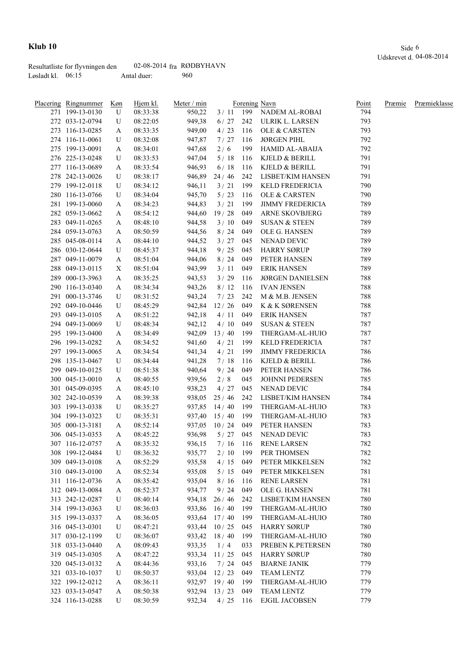|                     | Resultatliste for flyvningen den | 02-08-2014 $fra$ RØDBYHAVN |     |
|---------------------|----------------------------------|----------------------------|-----|
| Løsladt kl. $06:15$ |                                  | Antal duer:                | 960 |

| <b>Placering Ringnummer</b>        | <u>Køn</u> | Hjem kl. | Meter / min |              |     | Forening Navn             | Point | Præmie | Præmieklasse |
|------------------------------------|------------|----------|-------------|--------------|-----|---------------------------|-------|--------|--------------|
| 271 199-13-0130                    | U          | 08:33:38 | 950,22      |              |     | 3 / 11 199 NADEM AL-ROBAI | 794   |        |              |
| 272 033-12-0794                    | U          | 08:22:05 | 949,38      | 6/27         | 242 | ULRIK L. LARSEN           | 793   |        |              |
| 273 116-13-0285                    | A          | 08:33:35 | 949,00      | 4/23         | 116 | OLE & CARSTEN             | 793   |        |              |
| 274 116-11-0061                    | U          | 08:32:08 | 947,87      | 7/27         | 116 | <b>JØRGEN PIHL</b>        | 792   |        |              |
| 275 199-13-0091                    | A          | 08:34:01 | 947,68      | 2/6          | 199 | HAMID AL-ABAIJA           | 792   |        |              |
| 276 225-13-0248                    | U          | 08:33:53 | 947,04      | 5/18         | 116 | KJELD & BERILL            | 791   |        |              |
| 277 116-13-0689                    | A          | 08:33:54 | 946,93      | 6/18         | 116 | KJELD & BERILL            | 791   |        |              |
| 278 242-13-0026                    | U          | 08:38:17 | 946,89      | 24/46        | 242 | LISBET/KIM HANSEN         | 791   |        |              |
| 279 199-12-0118                    | U          | 08:34:12 | 946,11      | 3/21         | 199 | KELD FREDERICIA           | 790   |        |              |
| 280 116-13-0766                    | U          | 08:34:04 | 945,70      | $5/23$       | 116 | OLE & CARSTEN             | 790   |        |              |
| 281 199-13-0060                    | A          | 08:34:23 | 944,83      | 3/21         | 199 | <b>JIMMY FREDERICIA</b>   | 789   |        |              |
| 282 059-13-0662                    | A          | 08:54:12 | 944,60      | 19/28        | 049 | ARNE SKOVBJERG            | 789   |        |              |
| 283 049-11-0265                    | A          | 08:48:10 | 944,58      | 3/10         | 049 | <b>SUSAN &amp; STEEN</b>  | 789   |        |              |
| 284 059-13-0763                    | A          | 08:50:59 | 944,56      | 8/24         | 049 | OLE G. HANSEN             | 789   |        |              |
| 285 045-08-0114                    | A          | 08:44:10 | 944,52      | 3/27         | 045 | NENAD DEVIC               | 789   |        |              |
| 286 030-12-0644                    | U          | 08:45:37 | 944,18      | 9/25         | 045 | <b>HARRY SØRUP</b>        | 789   |        |              |
| 287 049-11-0079                    | A          | 08:51:04 | 944,06      | 8/24         | 049 | PETER HANSEN              | 789   |        |              |
| 288 049-13-0115                    | X          | 08:51:04 | 943,99      | 3/11         | 049 | <b>ERIK HANSEN</b>        | 789   |        |              |
| 289 000-13-3963                    | A          | 08:35:25 | 943,53      | 3/29         | 116 | <b>JØRGEN DANIELSEN</b>   | 788   |        |              |
| 290 116-13-0340                    | A          | 08:34:34 | 943,26      | 8/12         | 116 | <b>IVAN JENSEN</b>        | 788   |        |              |
| 291 000-13-3746                    | U          | 08:31:52 | 943,24      | 7/23         | 242 | M & M.B. JENSEN           | 788   |        |              |
| 292 049-10-0446                    | U          | 08:45:29 | 942,84      | 12/26        | 049 | K & K SØRENSEN            | 788   |        |              |
| 293 049-13-0105                    |            | 08:51:22 | 942,18      | 4/11         | 049 | ERIK HANSEN               | 787   |        |              |
| 294 049-13-0069                    | A<br>U     | 08:48:34 | 942,12      | 4/10         | 049 | <b>SUSAN &amp; STEEN</b>  | 787   |        |              |
| 295 199-13-0400                    |            | 08:34:49 | 942,09      | 13/40        | 199 | THERGAM-AL-HUIO           | 787   |        |              |
| 296 199-13-0282                    | A          |          |             | 4/21         | 199 | KELD FREDERICIA           | 787   |        |              |
|                                    | A          | 08:34:52 | 941,60      |              |     | <b>JIMMY FREDERICIA</b>   |       |        |              |
| 297 199-13-0065                    | A          | 08:34:54 | 941,34      | 4/21         | 199 |                           | 786   |        |              |
| 298 135-13-0467<br>299 049-10-0125 | U          | 08:34:44 | 941,28      | 7/18         | 116 | KJELD & BERILL            | 786   |        |              |
|                                    | U          | 08:51:38 | 940,64      | 9/24         | 049 | PETER HANSEN              | 786   |        |              |
| 300 045-13-0010                    | A          | 08:40:55 | 939,56      | 2/8          | 045 | <b>JOHNNI PEDERSEN</b>    | 785   |        |              |
| 301 045-09-0395                    | A          | 08:45:10 | 938,23      | 4/27         | 045 | NENAD DEVIC               | 784   |        |              |
| 302 242-10-0539                    | A          | 08:39:38 | 938,05      | 25/46        | 242 | LISBET/KIM HANSEN         | 784   |        |              |
| 303 199-13-0338                    | U          | 08:35:27 | 937,85      | 14/40        | 199 | THERGAM-AL-HUIO           | 783   |        |              |
| 304 199-13-0323                    | U          | 08:35:31 | 937,40      | 15/40        | 199 | THERGAM-AL-HUIO           | 783   |        |              |
| 305 000-13-3181                    | A          | 08:52:14 | 937,05      | 10/24        | 049 | PETER HANSEN              | 783   |        |              |
| 306 045-13-0353                    | A          | 08:45:22 | 936,98      | 5/27         | 045 | NENAD DEVIC               | 783   |        |              |
| 307 116-12-0757                    | A          | 08:35:32 | 936,15      |              |     | 7/16 116 RENE LARSEN      | 782   |        |              |
| 308 199-12-0484                    | U          | 08:36:32 | 935,77      | 2/10         | 199 | PER THOMSEN               | 782   |        |              |
| 309 049-13-0108                    | A          | 08:52:29 | 935,58      | 4/15         | 049 | PETER MIKKELSEN           | 782   |        |              |
| 310 049-13-0100                    | A          | 08:52:34 | 935,08      | 5/15         | 049 | PETER MIKKELSEN           | 781   |        |              |
| 311 116-12-0736                    | A          | 08:35:42 | 935,04      | 8/16         | 116 | <b>RENE LARSEN</b>        | 781   |        |              |
| 312 049-13-0084                    | A          | 08:52:37 | 934,77      | 9/24         | 049 | OLE G. HANSEN             | 781   |        |              |
| 313 242-12-0287                    | U          | 08:40:14 | 934,18      | 26/46        | 242 | LISBET/KIM HANSEN         | 780   |        |              |
| 314 199-13-0363                    | U          | 08:36:03 | 933,86      | 16/40        | 199 | THERGAM-AL-HUIO           | 780   |        |              |
| 315 199-13-0337                    | A          | 08:36:05 | 933,64      | 17/40        | 199 | THERGAM-AL-HUIO           | 780   |        |              |
| 316 045-13-0301                    | U          | 08:47:21 | 933,44      | 10/25        | 045 | <b>HARRY SØRUP</b>        | 780   |        |              |
| 317 030-12-1199                    | U          | 08:36:07 | 933,42      | 18/40        | 199 | THERGAM-AL-HUIO           | 780   |        |              |
| 318 033-13-0440                    | A          | 08:09:43 | 933,35      | 1/4          | 033 | PREBEN K.PETERSEN         | 780   |        |              |
| 319 045-13-0305                    | A          | 08:47:22 | 933,34      | 11/25        | 045 | <b>HARRY SØRUP</b>        | 780   |        |              |
| 320 045-13-0132                    | A          | 08:44:36 | 933,16      | 7/24         | 045 | <b>BJARNE JANIK</b>       | 779   |        |              |
| 321 033-10-1037                    | U          | 08:50:37 |             | 933,04 12/23 | 049 | <b>TEAM LENTZ</b>         | 779   |        |              |
| 322 199-12-0212                    | A          | 08:36:11 |             | 932,97 19/40 | 199 | THERGAM-AL-HUIO           | 779   |        |              |
| 323 033-13-0547                    | A          | 08:50:38 |             | 932,94 13/23 | 049 | <b>TEAM LENTZ</b>         | 779   |        |              |
| 324 116-13-0288                    | U          | 08:30:59 | 932,34      | $4/25$ 116   |     | EJGIL JACOBSEN            | 779   |        |              |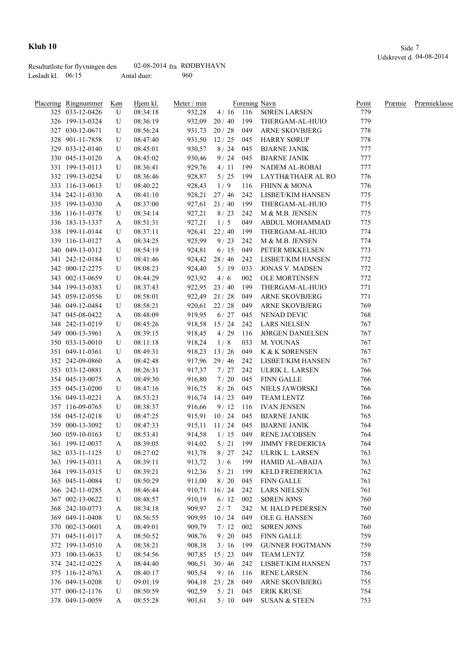|                     | Resultatliste for flyvningen den | 02-08-2014 $fra$ RØDBYHAVN |     |
|---------------------|----------------------------------|----------------------------|-----|
| Løsladt kl. $06:15$ |                                  | Antal duer:                | 960 |

| Placering Ringnummer | Køn | Hjem kl. | Meter / min |                  |       | Forening Navn            | <b>Point</b> | Præmie | Præmieklasse |
|----------------------|-----|----------|-------------|------------------|-------|--------------------------|--------------|--------|--------------|
| 325 033-12-0426      | U   | 08:34:18 | 932,28      |                  |       | 4/16 116 SØREN LARSEN    | 779          |        |              |
| 326 199-13-0324      | U   | 08:36:19 |             | $932,09$ 20 / 40 |       | 199 THERGAM-AL-HUIO      | 779          |        |              |
| 327 030-12-0671      | U   | 08:56:24 |             | 931,73 20 / 28   |       | 049 ARNE SKOVBJERG       | 778          |        |              |
| 328 901-11-7858      | U   | 08:47:40 |             | 931,50 12/25     |       | 045 HARRY SØRUP          | 778          |        |              |
| 329 033-12-0140      | U   | 08:45:01 | 930,57      | 8/24             | 045   | <b>BJARNE JANIK</b>      | 777          |        |              |
| 330 045-13-0120      | A   | 08:45:02 | 930,46      | 9/24             | 045   | <b>BJARNE JANIK</b>      | 777          |        |              |
| 331 199-13-0113      | U   | 08:36:41 | 929,76      | 4/11             | 199   | NADEM AL-ROBAI           | 777          |        |              |
| 332 199-13-0254      | U   | 08:36:46 | 928,87      | 5/25             | 199   | LAYTH&THAER AL RO        | 776          |        |              |
| 333 116-13-0613      | U   | 08:40:22 | 928,43      | 1/9              | 116   | FHINN & MONA             | 776          |        |              |
| 334 242-11-0330      | A   | 08:41:10 | 928,21      | 27/46            | 242   | LISBET/KIM HANSEN        | 775          |        |              |
| 335 199-13-0330      | A   | 08:37:00 | 927,61      | 21/40            | 199   | THERGAM-AL-HUIO          | 775          |        |              |
| 336 116-11-0378      | U   | 08:34:14 | 927,21      | 8/23             | 242   | M & M.B. JENSEN          | 775          |        |              |
| 336 183-13-1337      | A   | 08:51:31 | 927,21      | 1/5              | 049   | ABDUL MOHAMMAD           | 775          |        |              |
| 338 199-11-0144      | U   | 08:37:11 |             | 926,41 22 / 40   | 199   | THERGAM-AL-HUIO          | 774          |        |              |
| 339 116-13-0127      | A   | 08:34:25 | 925,99      | 9/23             | 242   | M & M.B. JENSEN          | 774          |        |              |
| 340 049-13-0312      | U   | 08:54:19 | 924,81      | 6/15             | 049   | PETER MIKKELSEN          | 773          |        |              |
| 341 242-12-0184      | U   | 08:41:46 |             | 924,42 28 / 46   | 242   | LISBET/KIM HANSEN        | 772          |        |              |
| 342 000-12-2275      | U   | 08:08:23 | 924,40      | 5/19             | 033   | <b>JONAS V. MADSEN</b>   | 772          |        |              |
| 343 002-13-0659      | U   | 08:44:29 | 923,92      | 4/6              | 002   | <b>OLE MORTENSEN</b>     | 772          |        |              |
| 344 199-13-0383      | U   | 08:37:43 |             | $922,95$ $23/40$ | 199   | THERGAM-AL-HUIO          | 771          |        |              |
| 345 059-12-0556      | U   | 08:58:01 |             | 922,49 21 / 28   | 049   | <b>ARNE SKOVBJERG</b>    | 771          |        |              |
| 346 049-12-0484      | U   | 08:58:21 |             | $920,61$ $22/28$ | 049   | <b>ARNE SKOVBJERG</b>    | 769          |        |              |
| 347 045-08-0422      | A   | 08:48:09 | 919,95      | 6/27             | 045   | <b>NENAD DEVIC</b>       | 768          |        |              |
| 348 242-13-0219      | U   | 08:45:26 | 918,58      | 15/24            | 242   | <b>LARS NIELSEN</b>      | 767          |        |              |
| 349 000-13-3961      | A   | 08:39:15 | 918,45      | 4/29             | 116   | <b>JØRGEN DANIELSEN</b>  | 767          |        |              |
| 350 033-13-0010      | U   | 08:11:18 | 918,24      | 1/8              | 033   | M. YOUNAS                | 767          |        |              |
| 351 049-11-0361      | U   | 08:49:31 | 918,23      | 13/26            | 049   | K & K SØRENSEN           | 767          |        |              |
| 352 242-09-0860      | A   | 08:42:48 | 917,96      | 29 / 46          | 242   | LISBET/KIM HANSEN        | 767          |        |              |
| 353 033-12-0881      | A   | 08:26:31 | 917,37      | 7/27             | 242   | ULRIK L. LARSEN          | 766          |        |              |
| 354 045-13-0075      | A   | 08:49:30 | 916,80      | 7/20             | 045   | FINN GALLE               | 766          |        |              |
| 355 045-13-0200      | U   | 08:47:16 | 916,75      | 8/26             | 045   | NIELS JAWORSKI           | 766          |        |              |
| 356 049-13-0221      | A   | 08:53:23 | 916,74      | 14/23            | 049   | TEAM LENTZ               | 766          |        |              |
| 357 116-09-0765      | U   | 08:38:37 | 916,66      | 9/12             | - 116 | IVAN JENSEN              | 766          |        |              |
| 358 045-12-0218      | U   | 08:47:25 | 915,91      | 10/24            | 045   | BJARNE JANIK             | 765          |        |              |
| 359 000-13-3092      | U   | 08:47:33 | 915,11      | 11/24            | 045   | <b>BJARNE JANIK</b>      | 764          |        |              |
| 360 059-10-0163      | U   | 08:53:41 | 914,58      | 1/15             | 049   | <b>RENE JACOBSEN</b>     | 764          |        |              |
| 361 199-12-0037      | A   | 08:39:05 | 914,02      | $5/21$ 199       |       | <b>JIMMY FREDERICIA</b>  | 764          |        |              |
| 362 033-11-1125      | U   | 08:27:02 | 913,78      | 8/27             | 242   | ULRIK L. LARSEN          | 763          |        |              |
| 363 199-13-0311      | A   | 08:39:11 | 913,72      | 3/6              | 199   | <b>HAMID AL-ABAIJA</b>   | 763          |        |              |
| 364 199-13-0315      | U   | 08:39:21 | 912,36      | 5/21             | 199   | <b>KELD FREDERICIA</b>   | 762          |        |              |
| 365 045-11-0084      | U   | 08:50:29 | 911,00      | 8/20             | 045   | <b>FINN GALLE</b>        | 761          |        |              |
| 366 242-11-0285      | A   | 08:46:44 | 910,71      | 16/24            | 242   | <b>LARS NIELSEN</b>      | 761          |        |              |
| 367 002-13-0622      | U   | 08:48:57 | 910,19      | 6/12             | 002   | <b>SØREN JØNS</b>        | 760          |        |              |
| 368 242-10-0773      | A   | 08:34:18 | 909,97      | 2/7              | 242   | M. HALD PEDERSEN         | 760          |        |              |
| 369 049-11-0408      | U   | 08:56:55 | 909,95      | 10/24            | 049   | OLE G. HANSEN            | 760          |        |              |
| 370 002-13-0601      | A   | 08:49:01 | 909,79      | 7/12             | 002   | <b>SØREN JØNS</b>        | 760          |        |              |
| 371 045-11-0117      | A   | 08:50:52 | 908,76      | 9/20             | 045   | <b>FINN GALLE</b>        | 759          |        |              |
| 372 199-13-0510      | A   | 08:38:21 | 908,38      | 3/16             | - 199 | <b>GUNNER FOGTMANN</b>   | 759          |        |              |
| 373 100-13-0633      | U   | 08:54:56 | 907,85      | 15/23            | 049   | TEAM LENTZ               | 758          |        |              |
| 374 242-12-0225      | A   | 08:44:40 | 906,51      | 30/46            | 242   | LISBET/KIM HANSEN        | 757          |        |              |
| 375 116-12-0763      | A   | 08:40:17 | 905,54      | 9/16             | 116   | <b>RENE LARSEN</b>       | 756          |        |              |
| 376 049-13-0208      | U   | 09:01:19 | 904,18      | 23 / 28          | 049   | ARNE SKOVBJERG           | 755          |        |              |
| 377 000-12-1176      | U   | 08:50:59 | 902,59      | 5/21             | 045   | <b>ERIK KRUSE</b>        | 754          |        |              |
| 378 049-13-0059      | A   | 08:55:28 | 901,61      | 5/10             | 049   | <b>SUSAN &amp; STEEN</b> | 753          |        |              |
|                      |     |          |             |                  |       |                          |              |        |              |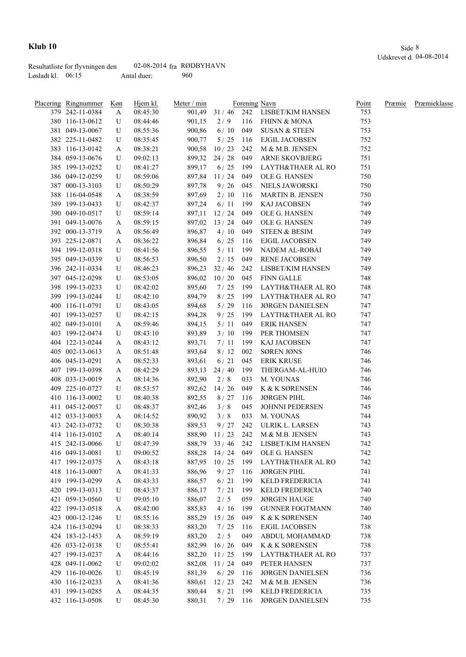|                     | Resultatliste for flyvningen den | 02-08-2014 $fra$ RØDBYHAVN |     |
|---------------------|----------------------------------|----------------------------|-----|
| Løsladt kl. $06:15$ |                                  | Antal duer:                | 960 |

| Placering Ringnummer | Køn | Hjem kl. | Meter / min |                |     | Forening Navn                 | Point | Præmie | Præmieklasse |
|----------------------|-----|----------|-------------|----------------|-----|-------------------------------|-------|--------|--------------|
| 379 242-11-0384      | A   | 08:45:30 |             | 901,49 31 / 46 | 242 | LISBET/KIM HANSEN             | 753   |        |              |
| 380 116-13-0612      | U   | 08:44:46 | 901,15      | 2/9            | 116 | FHINN & MONA                  | 753   |        |              |
| 381 049-13-0067      | U   | 08:55:36 | 900,86      | 6/10           | 049 | SUSAN & STEEN                 | 753   |        |              |
| 382 225-11-0482      | U   | 08:35:45 | 900,77      | 5/25           | 116 | EJGIL JACOBSEN                | 752   |        |              |
| 383 116-13-0142      | A   | 08:38:21 | 900,58      | 10/23          | 242 | M & M.B. JENSEN               | 752   |        |              |
| 384 059-13-0676      | U   | 09:02:13 |             | 899,32 24/28   | 049 | <b>ARNE SKOVBJERG</b>         | 751   |        |              |
| 385 199-13-0252      | U   | 08:41:27 | 899,17      | 6/25           | 199 | LAYTH&THAER AL RO             | 751   |        |              |
| 386 049-12-0259      | U   | 08:59:06 | 897,84      | 11/24          | 049 | OLE G. HANSEN                 | 750   |        |              |
| 387 000-13-3103      | U   | 08:50:29 | 897,78      | 9/26           | 045 | NIELS JAWORSKI                | 750   |        |              |
| 388 116-04-0548      | A   | 08:38:59 | 897,69      | 2/10           | 116 | <b>MARTIN B. JENSEN</b>       | 750   |        |              |
| 389 199-13-0433      | U   | 08:42:37 | 897,24      | 6/11           | 199 | KAJ JACOBSEN                  | 749   |        |              |
| 390 049-10-0517      | U   | 08:59:14 |             | 897,11 12/24   | 049 | OLE G. HANSEN                 | 749   |        |              |
| 391 049-13-0076      | A   | 08:59:15 | 897,02      | 13/24          | 049 | OLE G. HANSEN                 | 749   |        |              |
| 392 000-13-3719      | A   | 08:56:49 | 896,87      | 4/10           | 049 | <b>STEEN &amp; BESIM</b>      | 749   |        |              |
| 393 225-12-0871      | A   | 08:36:22 | 896,84      | 6/25           | 116 | EJGIL JACOBSEN                | 749   |        |              |
| 394 199-12-0318      | U   | 08:41:56 | 896,55      | 5/11           | 199 | NADEM AL-ROBAI                | 749   |        |              |
| 395 049-13-0339      | U   | 08:56:53 | 896,50      | 2/15           | 049 | <b>RENE JACOBSEN</b>          | 749   |        |              |
| 396 242-11-0334      | U   | 08:46:23 | 896,23      | 32/46          | 242 | LISBET/KIM HANSEN             | 749   |        |              |
| 397 045-12-0298      | U   | 08:53:05 | 896,02      | 10/20          | 045 | <b>FINN GALLE</b>             | 748   |        |              |
| 398 199-13-0233      | U   | 08:42:02 | 895,60      | 7/25           | 199 | LAYTH&THAER AL RO             | 748   |        |              |
| 399 199-13-0244      | U   | 08:42:10 | 894,79      | 8/25           | 199 | LAYTH&THAER AL RO             | 747   |        |              |
| 400 116-11-0791      | U   | 08:43:05 | 894,68      | 5/29           | 116 | <b>JØRGEN DANIELSEN</b>       | 747   |        |              |
| 401 199-13-0257      | U   | 08:42:15 | 894,28      | 9/25           | 199 | LAYTH&THAER AL RO             | 747   |        |              |
| 402 049-13-0101      | A   | 08:59:46 | 894,15      | 5/11           | 049 | ERIK HANSEN                   | 747   |        |              |
| 403 199-12-0474      | U   | 08:43:10 | 893,89      | 3/10           | 199 | PER THOMSEN                   | 747   |        |              |
| 404 122-13-0244      | A   | 08:43:12 | 893,71      | 7/11           | 199 | KAJ JACOBSEN                  | 747   |        |              |
| 405 002-13-0613      | A   | 08:51:48 | 893,64      | 8/12           | 002 | <b>SØREN JØNS</b>             | 746   |        |              |
| 406 045-13-0291      | A   | 08:52:33 | 893,61      | 6/21           | 045 | <b>ERIK KRUSE</b>             | 746   |        |              |
| 407 199-13-0398      | A   | 08:42:29 | 893,13      | 24/40          | 199 | THERGAM-AL-HUIO               | 746   |        |              |
| 408 033-13-0019      | A   | 08:14:36 | 892,90      | 2/8            | 033 | M. YOUNAS                     | 746   |        |              |
| 409 225-10-0727      | U   | 08:53:57 | 892,62      | 14/26          | 049 | K & K SØRENSEN                | 746   |        |              |
| 410 116-13-0002      | U   | 08:40:38 | 892,55      | 8/27           | 116 | <b>JØRGEN PIHL</b>            | 746   |        |              |
| 411 045-12-0057      | U   | 08:48:37 | 892,46      | 3/8            | 045 | JOHNNI PEDERSEN               | 745   |        |              |
| 412 033-13-0053      | A   | 08:14:52 | 890,92      | 3/8            | 033 | M. YOUNAS                     | 744   |        |              |
| 413 242-13-0732      | U   | 08:30:38 | 889,53      | 9/27           | 242 | ULRIK L. LARSEN               | 743   |        |              |
| 414 116-13-0102      | A   | 08:40:14 | 888,90      | 11/23          | 242 | M & M.B. JENSEN               | 743   |        |              |
| 415 242-13-0066      | U   | 08:47:39 | 888,79      |                |     | 33 / 46 242 LISBET/KIM HANSEN | 742   |        |              |
| 416 049-13-0081      | U   | 09:00:52 |             | 888,28 14/24   | 049 | OLE G. HANSEN                 | 742   |        |              |
| 417 199-12-0375      | A   | 08:43:18 | 887,95      | 10/25          | 199 | LAYTH&THAER AL RO             | 742   |        |              |
| 418 116-13-0007      | A   | 08:41:33 | 886,96      | $9/27$ 116     |     | <b>JØRGEN PIHL</b>            | 741   |        |              |
| 419 199-13-0299      | A   | 08:43:33 | 886,57      | 6/21           | 199 | <b>KELD FREDERICIA</b>        | 741   |        |              |
| 420 199-13-0313      | U   | 08:43:37 | 886,17      | 7/21           | 199 | KELD FREDERICIA               | 740   |        |              |
| 421 059-13-0560      | U   | 09:05:10 | 886,07      | 2/5            | 059 | <b>JØRGEN HAUGE</b>           | 740   |        |              |
| 422 199-13-0518      | A   | 08:42:00 | 885,83      | 4/16           | 199 | <b>GUNNER FOGTMANN</b>        | 740   |        |              |
| 423 000-12-1246      | U   | 08:55:16 | 885,29      | 15/26          | 049 | K & K SØRENSEN                | 740   |        |              |
| 424 116-13-0294      | U   | 08:38:33 | 883,20      | 7/25           | 116 | EJGIL JACOBSEN                | 738   |        |              |
| 424 183-12-1453      | A   | 08:59:19 | 883,20      | 2/5            | 049 | ABDUL MOHAMMAD                | 738   |        |              |
| 426 033-12-0138      | U   | 08:55:41 | 882,99      | 16/26          | 049 | K & K SØRENSEN                | 738   |        |              |
| 427 199-13-0237      | A   | 08:44:16 | 882,20      | 11/25          | 199 | LAYTH&THAER AL RO             | 737   |        |              |
| 428 049-11-0062      | U   | 09:02:02 | 882,08      | 11/24          | 049 | PETER HANSEN                  | 737   |        |              |
| 429 116-10-0026      | U   | 08:45:19 | 881,39      | 6/29           | 116 | <b>JØRGEN DANIELSEN</b>       | 736   |        |              |
| 430 116-12-0233      | A   | 08:41:36 | 880,61      | 12/23          | 242 | M & M.B. JENSEN               | 736   |        |              |
| 431 199-13-0285      | A   | 08:44:35 | 880,44      | 8/21           | 199 | KELD FREDERICIA               | 735   |        |              |
| 432 116-13-0508      | U   | 08:45:30 | 880,31      | 7/29           | 116 | <b>JØRGEN DANIELSEN</b>       | 735   |        |              |
|                      |     |          |             |                |     |                               |       |        |              |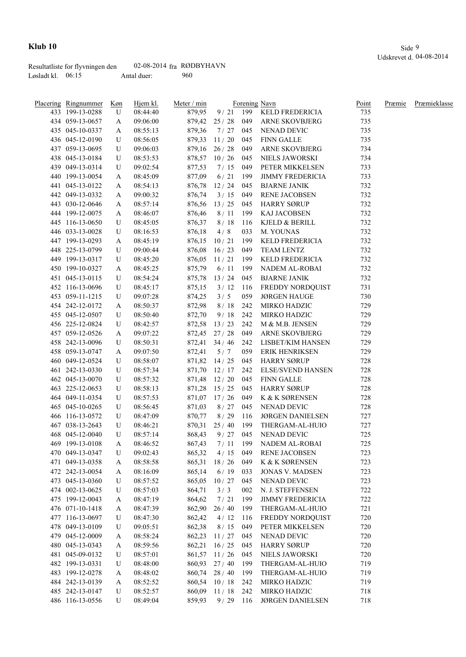|                     | Resultatliste for flyvningen den | 02-08-2014 $fra$ RØDBYHAVN |     |
|---------------------|----------------------------------|----------------------------|-----|
| Løsladt kl. $06:15$ |                                  | Antal duer:                | 960 |

|     | <b>Placering Ringnummer</b> | <u>Køn</u> | Hjem kl. | Meter / min |                  |     | Forening Navn            | Point | Præmie | Præmieklasse |
|-----|-----------------------------|------------|----------|-------------|------------------|-----|--------------------------|-------|--------|--------------|
|     | 433 199-13-0288             | U          | 08:44:40 | 879,95      | 9/21             | 199 | KELD FREDERICIA          | 735   |        |              |
|     | 434 059-13-0657             | A          | 09:06:00 |             | 879,42 25 / 28   | 049 | ARNE SKOVBJERG           | 735   |        |              |
|     | 435 045-10-0337             | A          | 08:55:13 | 879,36      | 7/27             | 045 | NENAD DEVIC              | 735   |        |              |
|     | 436 045-12-0190             | U          | 08:56:05 | 879,33      | 11/20            | 045 | <b>FINN GALLE</b>        | 735   |        |              |
|     | 437 059-13-0695             | U          | 09:06:03 |             | $879,16$ 26 / 28 | 049 | <b>ARNE SKOVBJERG</b>    | 734   |        |              |
|     | 438 045-13-0184             | U          | 08:53:53 |             | 878,57 10/26     | 045 | NIELS JAWORSKI           | 734   |        |              |
|     | 439 049-13-0314             | U          | 09:02:54 | 877,53      | 7/15             | 049 | PETER MIKKELSEN          | 733   |        |              |
|     | 440 199-13-0054             | A          | 08:45:09 | 877,09      | 6/21             | 199 | <b>JIMMY FREDERICIA</b>  | 733   |        |              |
|     | 441 045-13-0122             | A          | 08:54:13 | 876,78      | 12/24            | 045 | <b>BJARNE JANIK</b>      | 732   |        |              |
|     | 442 049-13-0332             | A          | 09:00:32 | 876,74      | 3/15             | 049 | RENE JACOBSEN            | 732   |        |              |
|     | 443 030-12-0646             | A          | 08:57:14 | 876,56      | 13/25            | 045 | <b>HARRY SØRUP</b>       | 732   |        |              |
|     | 444 199-12-0075             | A          | 08:46:07 | 876,46      | 8/11             | 199 | KAJ JACOBSEN             | 732   |        |              |
|     | 445 116-13-0650             | U          | 08:45:05 | 876,37      | 8/18             | 116 | KJELD & BERILL           | 732   |        |              |
|     | 446 033-13-0028             | U          | 08:16:53 | 876,18      | 4/8              | 033 | M. YOUNAS                | 732   |        |              |
|     | 447 199-13-0293             | A          | 08:45:19 | 876,15      | 10/21            | 199 | KELD FREDERICIA          | 732   |        |              |
|     | 448 225-13-0799             | U          | 09:00:44 | 876,08      | 16/23            | 049 | TEAM LENTZ               | 732   |        |              |
|     | 449 199-13-0317             | U          | 08:45:20 | 876,05      | 11/21            | 199 | KELD FREDERICIA          | 732   |        |              |
|     | 450 199-10-0327             | A          | 08:45:25 | 875,79      | 6/11             | 199 | NADEM AL-ROBAI           | 732   |        |              |
|     | 451 045-13-0115             | U          | 08:54:24 | 875,78      | 13/24            | 045 | <b>BJARNE JANIK</b>      | 732   |        |              |
|     | 452 116-13-0696             | U          | 08:45:17 | 875,15      | 3/12             | 116 | FREDDY NORDQUIST         | 731   |        |              |
|     | 453 059-11-1215             | U          | 09:07:28 | 874,25      | 3/5              | 059 | <b>JØRGEN HAUGE</b>      | 730   |        |              |
|     | 454 242-12-0172             | A          | 08:50:37 | 872,98      | 8/18             | 242 | MIRKO HADZIC             | 729   |        |              |
|     | 455 045-12-0507             | U          | 08:50:40 | 872,70      | 9/18             | 242 | MIRKO HADZIC             | 729   |        |              |
|     | 456 225-12-0824             | U          | 08:42:57 | 872,58      | 13/23            | 242 | M & M.B. JENSEN          | 729   |        |              |
|     | 457 059-12-0526             | A          | 09:07:22 |             | 872,45 27/28     | 049 | <b>ARNE SKOVBJERG</b>    | 729   |        |              |
|     | 458 242-13-0096             | U          | 08:50:31 |             | $872,41$ 34 / 46 | 242 | LISBET/KIM HANSEN        | 729   |        |              |
|     | 458 059-13-0747             | A          | 09:07:50 | 872,41      | 5/7              | 059 | ERIK HENRIKSEN           | 729   |        |              |
|     | 460 049-12-0524             | U          | 08:58:07 | 871,82      | 14/25            | 045 | <b>HARRY SØRUP</b>       | 728   |        |              |
| 461 | 242-13-0330                 | U          | 08:57:34 | 871,70      | 12/17            | 242 | <b>ELSE/SVEND HANSEN</b> | 728   |        |              |
|     | 462 045-13-0070             | U          | 08:57:32 | 871,48      | 12/20            | 045 | FINN GALLE               | 728   |        |              |
| 463 | 225-12-0653                 | U          | 08:58:13 | 871,28      | 15/25            | 045 | <b>HARRY SØRUP</b>       | 728   |        |              |
|     | 464 049-11-0354             | U          | 08:57:53 |             | 871,07 17/26     | 049 | K & K SØRENSEN           | 728   |        |              |
|     | 465 045-10-0265             | U          | 08:56:45 | 871,03      | 8/27             | 045 | NENAD DEVIC              | 728   |        |              |
|     | 466 116-13-0572             | U          | 08:47:09 | 870,77      | 8/29             | 116 | <b>JØRGEN DANIELSEN</b>  | 727   |        |              |
|     | 467 038-13-2643             | U          | 08:46:21 | 870,31      | 25/40            | 199 | THERGAM-AL-HUIO          | 727   |        |              |
|     | 468 045-12-0040             | U          | 08:57:14 | 868,43      | 9/27             | 045 | NENAD DEVIC              | 725   |        |              |
|     | 469 199-13-0108             | A          | 08:46:52 | 867,43      |                  |     | 7/11 199 NADEM AL-ROBAI  | 725   |        |              |
|     | 470 049-13-0347             | U          | 09:02:43 | 865,32      | 4/15             | 049 | <b>RENE JACOBSEN</b>     | 723   |        |              |
|     | 471 049-13-0358             | A          | 08:58:58 | 865,31      | 18/26            | 049 | K & K SØRENSEN           | 723   |        |              |
|     | 472 242-13-0054             | A          | 08:16:09 | 865,14      | 6/19             | 033 | <b>JONAS V. MADSEN</b>   | 723   |        |              |
|     | 473 045-13-0360             | U          | 08:57:52 | 865,05      | 10/27            | 045 | <b>NENAD DEVIC</b>       | 723   |        |              |
|     | 474 002-13-0625             | U          | 08:57:03 | 864,71      | 3/3              | 002 | N. J. STEFFENSEN         | 722   |        |              |
|     | 475 199-12-0043             | A          | 08:47:19 | 864,62      | 7/21             | 199 | <b>JIMMY FREDERICIA</b>  | 722   |        |              |
|     | 476 071-10-1418             | A          | 08:47:39 | 862,90      | 26/40            | 199 | THERGAM-AL-HUIO          | 721   |        |              |
|     | 477 116-13-0697             | U          | 08:47:30 | 862,42      | 4/12             | 116 | FREDDY NORDQUIST         | 720   |        |              |
|     | 478 049-13-0109             | U          | 09:05:51 | 862,38      | 8/15             | 049 | PETER MIKKELSEN          | 720   |        |              |
|     | 479 045-12-0009             | A          | 08:58:24 | 862,23      | 11/27            | 045 | NENAD DEVIC              | 720   |        |              |
|     | 480 045-13-0343             | A          | 08:59:56 | 862,21      | 16/25            | 045 | <b>HARRY SØRUP</b>       | 720   |        |              |
|     | 481 045-09-0132             | U          | 08:57:01 | 861,57      | 11/26            | 045 | NIELS JAWORSKI           | 720   |        |              |
|     | 482 199-13-0331             | U          | 08:48:00 | 860,93      | 27/40            | 199 | THERGAM-AL-HUIO          | 719   |        |              |
|     | 483 199-12-0278             | A          | 08:48:02 |             | 860,74 28 / 40   | 199 | THERGAM-AL-HUIO          | 719   |        |              |
|     | 484 242-13-0139             |            | 08:52:52 | 860,54      | 10/18            | 242 | MIRKO HADZIC             | 719   |        |              |
|     | 485 242-13-0147             | A<br>U     | 08:52:57 |             | 860,09 11/18     | 242 | MIRKO HADZIC             | 718   |        |              |
|     | 486 116-13-0556             | U          | 08:49:04 | 859,93      | 9/29             | 116 | <b>JØRGEN DANIELSEN</b>  | 718   |        |              |
|     |                             |            |          |             |                  |     |                          |       |        |              |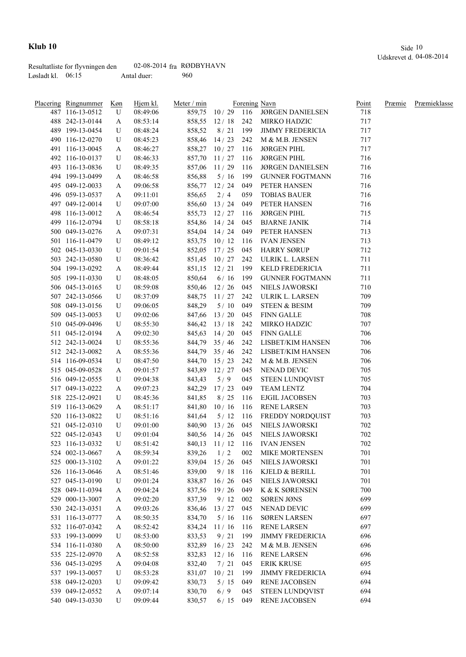|                     | Resultatliste for flyvningen den | 02-08-2014 $fra$ RØDBYHAVN |     |
|---------------------|----------------------------------|----------------------------|-----|
| Løsladt kl. $06:15$ |                                  | Antal duer:                | 960 |

| Placering Ringnummer | <u>Køn</u> | Hjem kl. | Meter / min |                  |     | Forening Navn                       | Point | Præmie | Præmieklasse |
|----------------------|------------|----------|-------------|------------------|-----|-------------------------------------|-------|--------|--------------|
| 487 116-13-0512      | U          | 08:49:06 |             |                  |     | 859,75 10 / 29 116 JØRGEN DANIELSEN | 718   |        |              |
| 488 242-13-0144      | A          | 08:53:14 |             | 858,55 12/18     |     | 242 MIRKO HADZIC                    | 717   |        |              |
| 489 199-13-0454      | U          | 08:48:24 | 858,52      |                  |     | 8 / 21 199 JIMMY FREDERICIA         | 717   |        |              |
| 490 116-12-0270      | U          | 08:45:23 |             | 858,46 14/23     |     | 242 M & M.B. JENSEN                 | 717   |        |              |
| 491 116-13-0045      | A          | 08:46:27 |             | 858,27 10/27     | 116 | JØRGEN PIHL                         | 717   |        |              |
| 492 116-10-0137      | U          | 08:46:33 | 857,70      | 11/27            | 116 | <b>JØRGEN PIHL</b>                  | 716   |        |              |
| 493 116-13-0836      | U          | 08:49:35 |             | 857,06 11/29     | 116 | <b>JØRGEN DANIELSEN</b>             | 716   |        |              |
| 494 199-13-0499      | A          | 08:46:58 | 856,88      | 5/16             | 199 | <b>GUNNER FOGTMANN</b>              | 716   |        |              |
| 495 049-12-0033      | A          | 09:06:58 |             | 856,77 12/24     | 049 | PETER HANSEN                        | 716   |        |              |
| 496 059-13-0537      | A          | 09:11:01 | 856,65      | 2/4              | 059 | <b>TOBIAS BAUER</b>                 | 716   |        |              |
| 497 049-12-0014      | U          | 09:07:00 |             | 856,60 13/24     | 049 | PETER HANSEN                        | 716   |        |              |
| 498 116-13-0012      | A          | 08:46:54 |             | 855,73 12/27 116 |     | <b>JØRGEN PIHL</b>                  | 715   |        |              |
| 499 116-12-0794      | U          | 08:58:18 |             | 854,86 14 / 24   | 045 | <b>BJARNE JANIK</b>                 | 714   |        |              |
| 500 049-13-0276      | A          | 09:07:31 |             | 854,04 14/24     | 049 | PETER HANSEN                        | 713   |        |              |
| 501 116-11-0479      | U          | 08:49:12 |             | 853,75 10/12     | 116 | <b>IVAN JENSEN</b>                  | 713   |        |              |
| 502 045-13-0330      | U          | 09:01:54 |             | 852,05 17/25     | 045 | <b>HARRY SØRUP</b>                  | 712   |        |              |
| 503 242-13-0580      | U          | 08:36:42 |             | 851,45 10/27     | 242 | ULRIK L. LARSEN                     | 711   |        |              |
| 504 199-13-0292      | A          | 08:49:44 | 851,15      | 12/21            | 199 | KELD FREDERICIA                     | 711   |        |              |
| 505 199-11-0330      | U          | 08:48:05 | 850,64      | 6/16             | 199 | <b>GUNNER FOGTMANN</b>              | 711   |        |              |
| 506 045-13-0165      | U          | 08:59:08 | 850,46      | 12/26            | 045 | NIELS JAWORSKI                      | 710   |        |              |
| 507 242-13-0566      | U          | 08:37:09 | 848,75      | 11/27            | 242 | ULRIK L. LARSEN                     | 709   |        |              |
| 508 049-13-0156      | U          | 09:06:05 | 848,29      | 5/10             | 049 | <b>STEEN &amp; BESIM</b>            | 709   |        |              |
| 509 045-13-0053      | U          | 09:02:06 | 847,66      | 13/20            | 045 | <b>FINN GALLE</b>                   | 708   |        |              |
| 510 045-09-0496      | U          | 08:55:30 |             | $846,42$ 13 / 18 | 242 | MIRKO HADZIC                        | 707   |        |              |
| 511 045-12-0194      | A          | 09:02:30 |             | 845,63 14/20     | 045 | <b>FINN GALLE</b>                   | 706   |        |              |
| 512 242-13-0024      | U          | 08:55:36 |             | $844,79$ 35 / 46 | 242 | LISBET/KIM HANSEN                   | 706   |        |              |
| 512 242-13-0082      | A          | 08:55:36 |             | $844,79$ 35 / 46 |     | 242 LISBET/KIM HANSEN               | 706   |        |              |
| 514 116-09-0534      | U          | 08:47:50 |             |                  |     | 844,70 15 / 23 242 M & M.B. JENSEN  | 706   |        |              |
| 515 045-09-0528      | A          | 09:01:57 |             | 843,89 12/27     | 045 | NENAD DEVIC                         | 705   |        |              |
| 516 049-12-0555      | U          | 09:04:38 | 843,43      | 5/9              | 045 | <b>STEEN LUNDQVIST</b>              | 705   |        |              |
| 517 049-13-0222      | A          | 09:07:23 |             | 842,29 17/23     | 049 | TEAM LENTZ                          | 704   |        |              |
| 518 225-12-0921      | U          | 08:45:36 | 841,85      | 8/25             | 116 | EJGIL JACOBSEN                      | 703   |        |              |
| 519 116-13-0629      | A          | 08:51:17 |             | 841,80 10/16     |     | 116 RENE LARSEN                     | 703   |        |              |
| 520 116-13-0822      | U          | 08:51:16 | 841,64      |                  |     | 5/12 116 FREDDY NORDQUIST           | 703   |        |              |
| 521 045-12-0310      | U          | 09:01:00 |             | 840,90 13/26     |     | 045 NIELS JAWORSKI                  | 702   |        |              |
| 522 045-12-0343      | U          | 09:01:04 |             | 840,56 14/26     |     | 045 NIELS JAWORSKI                  | 702   |        |              |
| 523 116-13-0332      | U          | 08:51:42 |             |                  |     | 840,13 11 / 12 116 IVAN JENSEN      | 702   |        |              |
| 524 002-13-0667      | A          | 08:59:34 | 839,26      | 1/2              | 002 | MIKE MORTENSEN                      | 701   |        |              |
| 525 000-13-3102      | A          | 09:01:22 | 839,04      | 15/26            | 045 | NIELS JAWORSKI                      | 701   |        |              |
| 526 116-13-0646      | A          | 08:51:46 | 839,00      | 9/18             | 116 | KJELD & BERILL                      | 701   |        |              |
| 527 045-13-0190      | U          | 09:01:24 | 838,87      | 16/26            | 045 | NIELS JAWORSKI                      | 701   |        |              |
| 528 049-11-0394      | A          | 09:04:24 |             | 837,56 19/26     | 049 | K & K SØRENSEN                      | 700   |        |              |
| 529 000-13-3007      | A          | 09:02:20 | 837,39      | 9/12             | 002 | <b>SØREN JØNS</b>                   | 699   |        |              |
| 530 242-13-0351      | A          | 09:03:26 | 836,46      | 13/27            | 045 | NENAD DEVIC                         | 699   |        |              |
| 531 116-13-0777      | A          | 08:50:35 | 834,70      | 5/16             | 116 | <b>SØREN LARSEN</b>                 | 697   |        |              |
| 532 116-07-0342      | A          | 08:52:42 | 834,24      | 11/16            | 116 | <b>RENE LARSEN</b>                  | 697   |        |              |
| 533 199-13-0099      | U          | 08:53:00 | 833,53      | 9/21             | 199 | <b>JIMMY FREDERICIA</b>             | 696   |        |              |
| 534 116-11-0380      | A          | 08:50:00 | 832,89      | 16/23            | 242 | M & M.B. JENSEN                     | 696   |        |              |
| 535 225-12-0970      | A          | 08:52:58 | 832,83      | 12/16            | 116 | <b>RENE LARSEN</b>                  | 696   |        |              |
| 536 045-13-0295      |            |          | 832,40      | 7/21             | 045 | <b>ERIK KRUSE</b>                   | 695   |        |              |
| 537 199-13-0057      | A          | 09:04:08 |             | 10/21            | 199 | <b>JIMMY FREDERICIA</b>             | 694   |        |              |
|                      | U          | 08:53:28 | 831,07      |                  |     |                                     | 694   |        |              |
| 538 049-12-0203      | U          | 09:09:42 | 830,73      | 5/15             | 049 | <b>RENE JACOBSEN</b>                |       |        |              |
| 539 049-12-0552      | A          | 09:07:14 | 830,70      | 6/9              | 045 | STEEN LUNDQVIST                     | 694   |        |              |
| 540 049-13-0330      | U          | 09:09:44 | 830,57      | 6/15             | 049 | <b>RENE JACOBSEN</b>                | 694   |        |              |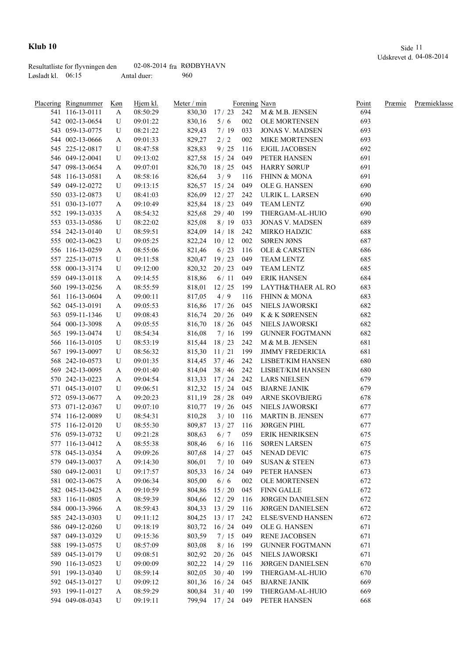|                     | Resultatliste for flyvningen den | 02-08-2014 $fra$ RØDBYHAVN |     |
|---------------------|----------------------------------|----------------------------|-----|
| Løsladt kl. $06:15$ |                                  | Antal duer:                | 960 |

| Placering Ringnummer | Køn | Hjem kl. | Meter / min |                    |     | Forening Navn               | Point | Præmie | Præmieklasse |
|----------------------|-----|----------|-------------|--------------------|-----|-----------------------------|-------|--------|--------------|
| 541 116-13-0111      | A   | 08:50:29 | 830,30      |                    |     | 17 / 23 242 M & M.B. JENSEN | 694   |        |              |
| 542 002-13-0654      | U   | 09:01:22 | 830,16      | 5/6                | 002 | <b>OLE MORTENSEN</b>        | 693   |        |              |
| 543 059-13-0775      | U   | 08:21:22 | 829,43      | 7/19               | 033 | <b>JONAS V. MADSEN</b>      | 693   |        |              |
| 544 002-13-0666      | A   | 09:01:33 | 829,27      | 2/2                | 002 | <b>MIKE MORTENSEN</b>       | 693   |        |              |
| 545 225-12-0817      | U   | 08:47:58 | 828,83      | 9/25               | 116 | EJGIL JACOBSEN              | 692   |        |              |
| 546 049-12-0041      | U   | 09:13:02 | 827,58      | 15/24              | 049 | PETER HANSEN                | 691   |        |              |
| 547 098-13-0654      | A   | 09:07:01 | 826,70      | 18/25              | 045 | HARRY SØRUP                 | 691   |        |              |
| 548 116-13-0581      | A   | 08:58:16 | 826,64      | 3/9                | 116 | <b>FHINN &amp; MONA</b>     | 691   |        |              |
| 549 049-12-0272      | U   | 09:13:15 |             | 826,57 15 / 24     | 049 | OLE G. HANSEN               | 690   |        |              |
| 550 033-12-0873      | U   | 08:41:03 | 826,09      | 12/27              | 242 | ULRIK L. LARSEN             | 690   |        |              |
| 551 030-13-1077      | A   | 09:10:49 |             | 825,84 18 / 23     | 049 | TEAM LENTZ                  | 690   |        |              |
| 552 199-13-0335      | A   | 08:54:32 |             | $825,68$ 29/40     | 199 | THERGAM-AL-HUIO             | 690   |        |              |
| 553 033-13-0586      | U   | 08:22:02 | 825,08      | 8/19               | 033 | <b>JONAS V. MADSEN</b>      | 689   |        |              |
| 554 242-13-0140      | U   | 08:59:51 | 824,09      | 14/18              | 242 | MIRKO HADZIC                | 688   |        |              |
| 555 002-13-0623      | U   | 09:05:25 | 822,24      | 10/12              | 002 | <b>SØREN JØNS</b>           | 687   |        |              |
| 556 116-13-0259      | A   | 08:55:06 | 821,46      | 6/23               | 116 | OLE & CARSTEN               | 686   |        |              |
| 557 225-13-0715      | U   | 09:11:58 |             | 820,47 19 / 23     | 049 | <b>TEAM LENTZ</b>           | 685   |        |              |
| 558 000-13-3174      | U   | 09:12:00 | 820,32      | 20/23              | 049 | <b>TEAM LENTZ</b>           | 685   |        |              |
| 559 049-13-0118      | A   | 09:14:55 | 818,86      | 6/11               | 049 | <b>ERIK HANSEN</b>          | 684   |        |              |
| 560 199-13-0256      | A   | 08:55:59 | 818,01      | 12/25              | 199 | LAYTH&THAER AL RO           | 683   |        |              |
| 561 116-13-0604      | A   | 09:00:11 | 817,05      | 4/9                | 116 | <b>FHINN &amp; MONA</b>     | 683   |        |              |
| 562 045-13-0191      |     |          |             |                    | 045 |                             | 682   |        |              |
|                      | A   | 09:05:53 | 816,86      | 17/26              |     | NIELS JAWORSKI              |       |        |              |
| 563 059-11-1346      | U   | 09:08:43 | 816,74      | 20/26              | 049 | K & K SØRENSEN              | 682   |        |              |
| 564 000-13-3098      | A   | 09:05:55 | 816,70      | 18/26              | 045 | NIELS JAWORSKI              | 682   |        |              |
| 565 199-13-0474      | U   | 08:54:34 | 816,08      | 7/16               | 199 | <b>GUNNER FOGTMANN</b>      | 682   |        |              |
| 566 116-13-0105      | U   | 08:53:19 | 815,44      | 18/23              | 242 | M & M.B. JENSEN             | 681   |        |              |
| 567 199-13-0097      | U   | 08:56:32 | 815,30      | 11/21              | 199 | <b>JIMMY FREDERICIA</b>     | 681   |        |              |
| 568 242-10-0573      | U   | 09:01:35 |             | $814,45$ 37/46     | 242 | LISBET/KIM HANSEN           | 680   |        |              |
| 569 242-13-0095      | A   | 09:01:40 |             | 814,04 38 / 46     | 242 | LISBET/KIM HANSEN           | 680   |        |              |
| 570 242-13-0223      | A   | 09:04:54 |             | 813,33 17/24       | 242 | LARS NIELSEN                | 679   |        |              |
| 571 045-13-0107      | U   | 09:06:51 |             | 812,32 15/24       | 045 | <b>BJARNE JANIK</b>         | 679   |        |              |
| 572 059-13-0677      | A   | 09:20:23 |             | $811,19$ 28 / 28   | 049 | ARNE SKOVBJERG              | 678   |        |              |
| 573 071-12-0367      | U   | 09:07:10 |             | 810,77 19/26       | 045 | NIELS JAWORSKI              | 677   |        |              |
| 574 116-12-0089      | U   | 08:54:31 | 810,28      | 3/10               | 116 | <b>MARTIN B. JENSEN</b>     | 677   |        |              |
| 575 116-12-0120      | U   | 08:55:30 | 809,87      | 13/27              | 116 | JØRGEN PIHL                 | 677   |        |              |
| 576 059-13-0732      | U   | 09:21:28 | 808,63      | 6/7                | 059 | <b>ERIK HENRIKSEN</b>       | 675   |        |              |
| 577 116-13-0412      | A   | 08:55:38 | 808,46      | 6/16               | 116 | <b>SØREN LARSEN</b>         | 675   |        |              |
| 578 045-13-0354      | A   | 09:09:26 |             | $807,68$ 14 / 27   | 045 | NENAD DEVIC                 | 675   |        |              |
| 579 049-13-0037      | A   | 09:14:30 | 806,01      | 7/10               | 049 | <b>SUSAN &amp; STEEN</b>    | 673   |        |              |
| 580 049-12-0031      | U   | 09:17:57 | 805,33      | 16/24              | 049 | PETER HANSEN                | 673   |        |              |
| 581 002-13-0675      | A   | 09:06:34 | 805,00      | 6/6                | 002 | <b>OLE MORTENSEN</b>        | 672   |        |              |
| 582 045-13-0425      | A   | 09:10:59 | 804,86      | 15/20              | 045 | <b>FINN GALLE</b>           | 672   |        |              |
| 583 116-11-0805      | A   | 08:59:39 |             | 804,66 12/29       | 116 | JØRGEN DANIELSEN            | 672   |        |              |
| 584 000-13-3966      | A   | 08:59:43 |             | $804,33$ 13/29     | 116 | JØRGEN DANIELSEN            | 672   |        |              |
| 585 242-13-0303      | U   | 09:11:12 |             | $804,25$ 13/17     | 242 | <b>ELSE/SVEND HANSEN</b>    | 672   |        |              |
| 586 049-12-0260      | U   | 09:18:19 | 803,72      | 16/24              | 049 | OLE G. HANSEN               | 671   |        |              |
| 587 049-13-0329      | U   | 09:15:36 | 803,59      | 7/15               | 049 | RENE JACOBSEN               | 671   |        |              |
| 588 199-13-0575      | U   | 08:57:09 | 803,08      | 8/16               | 199 | <b>GUNNER FOGTMANN</b>      | 671   |        |              |
| 589 045-13-0179      | U   | 09:08:51 | 802,92      | 20/26              | 045 | NIELS JAWORSKI              | 671   |        |              |
| 590 116-13-0523      | U   | 09:00:09 | 802,22      | 14/29              | 116 | JØRGEN DANIELSEN            | 670   |        |              |
| 591 199-13-0340      | U   | 08:59:14 | 802,05      | 30/40              | 199 | THERGAM-AL-HUIO             | 670   |        |              |
| 592 045-13-0127      | U   | 09:09:12 |             | 801,36 16/24       | 045 | <b>BJARNE JANIK</b>         | 669   |        |              |
| 593 199-11-0127      | A   | 08:59:29 |             | 800,84 31 / 40     | 199 | THERGAM-AL-HUIO             | 669   |        |              |
| 594 049-08-0343      | U   | 09:19:11 |             | 799,94 17 / 24 049 |     | PETER HANSEN                | 668   |        |              |
|                      |     |          |             |                    |     |                             |       |        |              |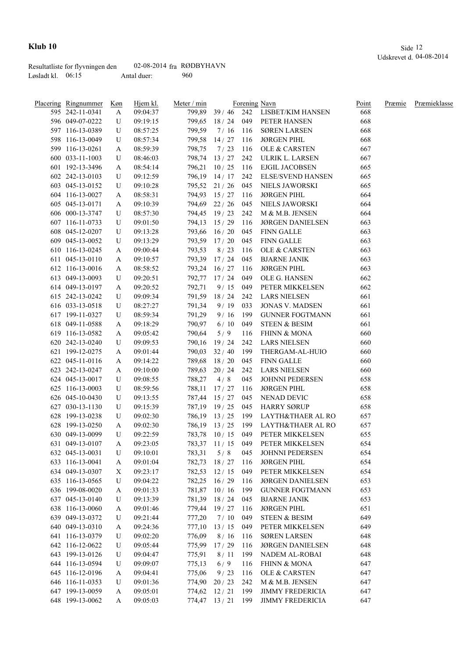|                     | Resultatliste for flyvningen den | 02-08-2014 $fra$ RØDBYHAVN |     |
|---------------------|----------------------------------|----------------------------|-----|
| Løsladt kl. $06:15$ |                                  | Antal duer:                | 960 |

| Placering Ringnummer | Køn | Hjem kl. | Meter / min |                    |       | Forening Navn                   | Point | Præmie | Præmieklasse |
|----------------------|-----|----------|-------------|--------------------|-------|---------------------------------|-------|--------|--------------|
| 595 242-11-0341      | A   | 09:04:37 | 799,89      |                    |       | 39 / 46 242 LISBET/KIM HANSEN   | 668   |        |              |
| 596 049-07-0222      | U   | 09:19:15 |             |                    |       | 799,65 18 / 24 049 PETER HANSEN | 668   |        |              |
| 597 116-13-0389      | U   | 08:57:25 | 799,59      | 7/16               | 116   | <b>SØREN LARSEN</b>             | 668   |        |              |
| 598 116-13-0049      | U   | 08:57:34 | 799,58      | 14/27              | 116   | <b>JØRGEN PIHL</b>              | 668   |        |              |
| 599 116-13-0261      | A   | 08:59:39 | 798,75      | 7/23               | 116   | OLE & CARSTEN                   | 667   |        |              |
| 600 033-11-1003      | U   | 08:46:03 | 798,74      | 13/27              | 242   | ULRIK L. LARSEN                 | 667   |        |              |
| 601 192-13-3496      | A   | 08:54:14 |             | 796,21 10/25       | 116   | EJGIL JACOBSEN                  | 665   |        |              |
| 602 242-13-0103      | U   | 09:12:59 |             | 796,19 14 / 17     | 242   | <b>ELSE/SVEND HANSEN</b>        | 665   |        |              |
| 603 045-13-0152      | U   | 09:10:28 |             | 795,52 21/26       | 045   | NIELS JAWORSKI                  | 665   |        |              |
| 604 116-13-0027      | A   | 08:58:31 |             | 794,93 15 / 27     | 116   | <b>JØRGEN PIHL</b>              | 664   |        |              |
| 605 045-13-0171      | A   | 09:10:39 |             | 794,69 22 / 26     | 045   | NIELS JAWORSKI                  | 664   |        |              |
| 606 000-13-3747      | U   | 08:57:30 |             | 794,45 19/23       | 242   | M & M.B. JENSEN                 | 664   |        |              |
| 607 116-11-0733      | U   | 09:01:50 |             | 794,13 15 / 29     | - 116 | <b>JØRGEN DANIELSEN</b>         | 663   |        |              |
| 608 045-12-0207      | U   | 09:13:28 |             | 793,66 16/20       | 045   | <b>FINN GALLE</b>               | 663   |        |              |
| 609 045-13-0052      | U   | 09:13:29 |             | 793,59 17/20       | 045   | <b>FINN GALLE</b>               | 663   |        |              |
| 610 116-13-0245      | A   | 09:00:44 | 793,53      | 8/23               | 116   | <b>OLE &amp; CARSTEN</b>        | 663   |        |              |
| 611 045-13-0110      | A   | 09:10:57 | 793,39      | 17/24              | 045   | <b>BJARNE JANIK</b>             | 663   |        |              |
| 612 116-13-0016      | A   | 08:58:52 | 793,24      | 16/27              | 116   | <b>JØRGEN PIHL</b>              | 663   |        |              |
| 613 049-13-0093      | U   | 09:20:51 | 792,77      | 17/24              | 049   | OLE G. HANSEN                   | 662   |        |              |
| 614 049-13-0197      | A   | 09:20:52 | 792,71      | 9/15               | 049   | PETER MIKKELSEN                 | 662   |        |              |
| 615 242-13-0242      | U   | 09:09:34 | 791,59      | 18/24              | 242   | <b>LARS NIELSEN</b>             | 661   |        |              |
| 616 033-13-0518      | U   | 08:27:27 | 791,34      | 9/19               | 033   | <b>JONAS V. MADSEN</b>          | 661   |        |              |
| 617 199-11-0327      | U   | 08:59:34 | 791,29      | 9/16               | 199   | <b>GUNNER FOGTMANN</b>          | 661   |        |              |
| 618 049-11-0588      | A   | 09:18:29 | 790,97      | 6/10               | 049   | <b>STEEN &amp; BESIM</b>        | 661   |        |              |
| 619 116-13-0582      | A   | 09:05:42 | 790,64      | 5/9                | 116   | FHINN & MONA                    | 660   |        |              |
| 620 242-13-0240      | U   | 09:09:53 | 790,16      | 19/24              | 242   | LARS NIELSEN                    | 660   |        |              |
| 621 199-12-0275      | A   | 09:01:44 |             | $790,03$ 32/40     | 199   | THERGAM-AL-HUIO                 | 660   |        |              |
| 622 045-11-0116      | A   | 09:14:22 |             | 789,68 18 / 20     | 045   | FINN GALLE                      | 660   |        |              |
| 623 242-13-0247      | A   | 09:10:00 |             | 789,63 20 / 24     | 242   | <b>LARS NIELSEN</b>             | 660   |        |              |
| 624 045-13-0017      | U   | 09:08:55 | 788,27      | 4/8                | 045   | <b>JOHNNI PEDERSEN</b>          | 658   |        |              |
| 625 116-13-0003      | U   | 08:59:56 | 788,11      | 17/27              | 116   | <b>JØRGEN PIHL</b>              | 658   |        |              |
| 626 045-10-0430      | U   | 09:13:55 |             | 787,44 15 / 27     | 045   | NENAD DEVIC                     | 658   |        |              |
| 627 030-13-1130      | U   | 09:15:39 |             | 787,19 19 / 25     | 045   | <b>HARRY SØRUP</b>              | 658   |        |              |
| 628 199-13-0238      | U   | 09:02:30 |             | 786,19 13 / 25     | 199   | LAYTH&THAER AL RO               | 657   |        |              |
| 628 199-13-0250      | A   | 09:02:30 |             | 786,19 13/25       | 199   | LAYTH&THAER AL RO               | 657   |        |              |
| 630 049-13-0099      | U   | 09:22:59 |             | 783,78 10/15       | 049   | PETER MIKKELSEN                 | 655   |        |              |
| 631 049-13-0107      | A   | 09:23:05 |             | 783,37 11/15 049   |       | PETER MIKKELSEN                 | 654   |        |              |
| 632 045-13-0031      | U   | 09:10:01 | 783,31      | 5/8                | 045   | JOHNNI PEDERSEN                 | 654   |        |              |
| 633 116-13-0041      | A   | 09:01:04 | 782,73      | 18/27              | 116   | <b>JØRGEN PIHL</b>              | 654   |        |              |
| 634 049-13-0307      | X   | 09:23:17 |             | 782,53 12/15       | 049   | PETER MIKKELSEN                 | 654   |        |              |
| 635 116-13-0565      | U   | 09:04:22 |             | 782,25 16/29       | 116   | <b>JØRGEN DANIELSEN</b>         | 653   |        |              |
| 636 199-08-0020      | A   | 09:01:33 |             | 781,87 10/16       | 199   | <b>GUNNER FOGTMANN</b>          | 653   |        |              |
| 637 045-13-0140      | U   | 09:13:39 |             | 781,39 18 / 24 045 |       | <b>BJARNE JANIK</b>             | 653   |        |              |
| 638 116-13-0060      | A   | 09:01:46 | 779,44      | 19/27              | - 116 | <b>JØRGEN PIHL</b>              | 651   |        |              |
| 639 049-13-0372      | U   | 09:21:44 | 777,20      | 7/10               | 049   | <b>STEEN &amp; BESIM</b>        | 649   |        |              |
| 640 049-13-0310      | A   | 09:24:36 | 777,10      | 13/15              | 049   | PETER MIKKELSEN                 | 649   |        |              |
| 641 116-13-0379      | U   | 09:02:20 | 776,09      | 8/16               | 116   | <b>SØREN LARSEN</b>             | 648   |        |              |
| 642 116-12-0622      | U   | 09:05:44 | 775,99      | 17/29              | 116   | <b>JØRGEN DANIELSEN</b>         | 648   |        |              |
| 643 199-13-0126      | U   | 09:04:47 | 775,91      | 8/11               | 199   | NADEM AL-ROBAI                  | 648   |        |              |
| 644 116-13-0594      | U   | 09:09:07 | 775,13      | 6/9                | 116   | <b>FHINN &amp; MONA</b>         | 647   |        |              |
| 645 116-12-0196      | A   | 09:04:41 | 775,06      | 9/23               | 116   | OLE & CARSTEN                   | 647   |        |              |
| 646 116-11-0353      |     | 09:01:36 |             |                    | 242   | M & M.B. JENSEN                 | 647   |        |              |
| 647 199-13-0059      | U   | 09:05:01 | 774,90      | 20/23<br>12/21     | 199   | <b>JIMMY FREDERICIA</b>         | 647   |        |              |
| 648 199-13-0062      | A   | 09:05:03 | 774,62      | 774,47 13 / 21 199 |       | <b>JIMMY FREDERICIA</b>         | 647   |        |              |
|                      | A   |          |             |                    |       |                                 |       |        |              |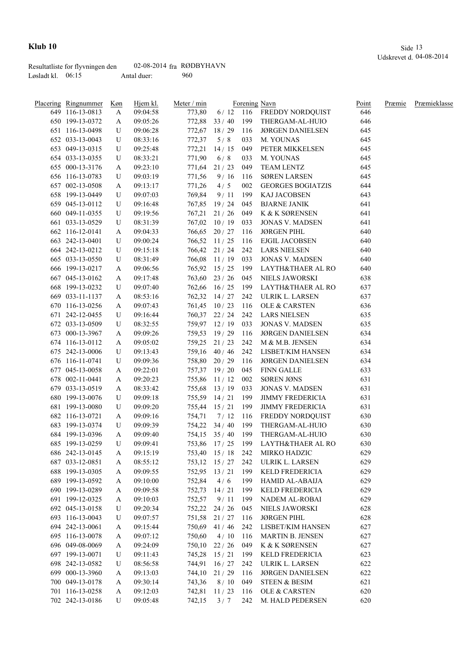|                     | Resultatliste for flyvningen den | 02-08-2014 $fra$ RØDBYHAVN |     |
|---------------------|----------------------------------|----------------------------|-----|
| Løsladt kl. $06:15$ |                                  | Antal duer:                | 960 |

| Placering Ringnummer | Køn | Hjem kl. | Meter / min |                    |       | Forening Navn                | Point | Præmie | Præmieklasse |
|----------------------|-----|----------|-------------|--------------------|-------|------------------------------|-------|--------|--------------|
| 649 116-13-0813      | A   | 09:04:58 | 773,80      |                    |       | 6/12 116 FREDDY NORDQUIST    | 646   |        |              |
| 650 199-13-0372      | A   | 09:05:26 |             | $772,88$ 33 / 40   | 199   | THERGAM-AL-HUIO              | 646   |        |              |
| 651 116-13-0498      | U   | 09:06:28 |             | 772,67 18 / 29     | 116   | <b>JØRGEN DANIELSEN</b>      | 645   |        |              |
| 652 033-13-0043      | U   | 08:33:16 | 772,37      | 5/8                | 033   | M. YOUNAS                    | 645   |        |              |
| 653 049-13-0315      | U   | 09:25:48 | 772,21      | 14/15              | 049   | PETER MIKKELSEN              | 645   |        |              |
| 654 033-13-0355      | U   | 08:33:21 | 771,90      | 6/8                | 033   | M. YOUNAS                    | 645   |        |              |
| 655 000-13-3176      | A   | 09:23:10 | 771,64      | 21/23              | 049   | <b>TEAM LENTZ</b>            | 645   |        |              |
| 656 116-13-0783      | U   | 09:03:19 | 771,56      | 9/16               | 116   | <b>SØREN LARSEN</b>          | 645   |        |              |
| 657 002-13-0508      | A   | 09:13:17 | 771,26      | 4/5                | 002   | <b>GEORGES BOGIATZIS</b>     | 644   |        |              |
| 658 199-13-0449      | U   | 09:07:03 | 769,84      | 9/11               | 199   | KAJ JACOBSEN                 | 643   |        |              |
| 659 045-13-0112      | U   | 09:16:48 |             | 767,85 19/24       | 045   | <b>BJARNE JANIK</b>          | 641   |        |              |
| 660 049-11-0355      | U   | 09:19:56 |             | $767,21$ 21/26     | 049   | K & K SØRENSEN               | 641   |        |              |
| 661 033-13-0529      | U   | 08:31:39 |             | $767,02$ 10 / 19   | 033   | <b>JONAS V. MADSEN</b>       | 641   |        |              |
| 662 116-12-0141      | A   | 09:04:33 |             | 766,65 20 / 27 116 |       | <b>JØRGEN PIHL</b>           | 640   |        |              |
| 663 242-13-0401      | U   | 09:00:24 |             | 766,52 11/25       | - 116 | EJGIL JACOBSEN               | 640   |        |              |
| 664 242-13-0212      | U   | 09:15:18 |             | 766,42 21/24       | 242   | <b>LARS NIELSEN</b>          | 640   |        |              |
| 665 033-13-0550      | U   | 08:31:49 |             | 766,08 11/19       | 033   | <b>JONAS V. MADSEN</b>       | 640   |        |              |
| 666 199-13-0217      | A   | 09:06:56 |             | 765,92 15 / 25     | 199   | <b>LAYTH&amp;THAER AL RO</b> | 640   |        |              |
| 667 045-13-0162      | A   | 09:17:48 |             | $763,60$ 23 / 26   | 045   | NIELS JAWORSKI               | 638   |        |              |
| 668 199-13-0232      | U   | 09:07:40 |             | 762,66 16/25       | 199   | LAYTH&THAER AL RO            | 637   |        |              |
| 669 033-11-1137      | A   | 08:53:16 |             | 762,32 14/27       | 242   | ULRIK L. LARSEN              | 637   |        |              |
| 670 116-13-0256      | A   | 09:07:43 |             | $761,45$ $10/23$   | 116   | OLE & CARSTEN                | 636   |        |              |
| 671 242-12-0455      | U   | 09:16:44 |             | 760,37 22 / 24     | 242   | <b>LARS NIELSEN</b>          | 635   |        |              |
| 672 033-13-0509      | U   | 08:32:55 |             | 759,97 12/19       | 033   | <b>JONAS V. MADSEN</b>       | 635   |        |              |
|                      |     |          |             |                    |       |                              |       |        |              |
| 673 000-13-3967      | A   | 09:09:26 |             | 759,53 19/29       | 116   | <b>JØRGEN DANIELSEN</b>      | 634   |        |              |
| 674 116-13-0112      | A   | 09:05:02 |             | 759,25 21/23       | 242   | M & M.B. JENSEN              | 634   |        |              |
| 675 242-13-0006      | U   | 09:13:43 |             | 759,16 40/46       | 242   | LISBET/KIM HANSEN            | 634   |        |              |
| 676 116-11-0741      | U   | 09:09:36 |             | 758,80 20 / 29     | - 116 | <b>JØRGEN DANIELSEN</b>      | 634   |        |              |
| 677 045-13-0058      | A   | 09:22:01 |             | 757,37 19/20       | 045   | FINN GALLE                   | 633   |        |              |
| 678 002-11-0441      | A   | 09:20:23 |             | 755,86 11/12       | 002   | <b>SØREN JØNS</b>            | 631   |        |              |
| 679 033-13-0519      | A   | 08:33:42 |             | 755,68 13/19       | 033   | <b>JONAS V. MADSEN</b>       | 631   |        |              |
| 680 199-13-0076      | U   | 09:09:18 |             | 755,59 14/21       | 199   | <b>JIMMY FREDERICIA</b>      | 631   |        |              |
| 681 199-13-0080      | U   | 09:09:20 | 755,44      | 15/21              | 199   | <b>JIMMY FREDERICIA</b>      | 631   |        |              |
| 682 116-13-0721      | A   | 09:09:16 | 754,71      | 7/12               | 116   | FREDDY NORDQUIST             | 630   |        |              |
| 683 199-13-0374      | U   | 09:09:39 | 754,22      | 34/40              | 199   | THERGAM-AL-HUIO              | 630   |        |              |
| 684 199-13-0396      | A   | 09:09:40 |             | $754,15$ $35/40$   | 199   | THERGAM-AL-HUIO              | 630   |        |              |
| 685 199-13-0259      | U   | 09:09:41 |             | 753,86 17/25 199   |       | LAYTH&THAER AL RO            | 630   |        |              |
| 686 242-13-0145      | A   | 09:15:19 |             | $753,40$ 15 / 18   | 242   | MIRKO HADZIC                 | 629   |        |              |
| 687 033-12-0851      | A   | 08:55:12 | 753,12      | 15/27              | 242   | ULRIK L. LARSEN              | 629   |        |              |
| 688 199-13-0305      | A   | 09:09:55 |             | 752,95 13/21       | 199   | KELD FREDERICIA              | 629   |        |              |
| 689 199-13-0592      | A   | 09:10:00 | 752,84      | 4/6                | 199   | <b>HAMID AL-ABAIJA</b>       | 629   |        |              |
| 690 199-13-0289      | A   | 09:09:58 | 752,73      | 14/21              | 199   | KELD FREDERICIA              | 629   |        |              |
| 691 199-12-0325      | A   | 09:10:03 | 752,57      | 9/11               | 199   | NADEM AL-ROBAI               | 629   |        |              |
| 692 045-13-0158      | U   | 09:20:34 |             | 752,22 24/26       | 045   | NIELS JAWORSKI               | 628   |        |              |
| 693 116-13-0043      | U   | 09:07:57 |             | 751,58 21/27       | 116   | <b>JØRGEN PIHL</b>           | 628   |        |              |
| 694 242-13-0061      | A   | 09:15:44 | 750,69      | 41/46              | 242   | LISBET/KIM HANSEN            | 627   |        |              |
| 695 116-13-0078      | A   | 09:07:12 | 750,60      | 4/10               | 116   | <b>MARTIN B. JENSEN</b>      | 627   |        |              |
| 696 049-08-0069      | A   | 09:24:09 | 750,10      | 22/26              | 049   | K & K SØRENSEN               | 627   |        |              |
| 697 199-13-0071      | U   | 09:11:43 | 745,28      | 15/21              | 199   | <b>KELD FREDERICIA</b>       | 623   |        |              |
| 698 242-13-0582      | U   | 08:56:58 | 744,91      | 16/27              | 242   | ULRIK L. LARSEN              | 622   |        |              |
| 699 000-13-3960      | A   | 09:13:03 | 744,10      | 21/29              | 116   | <b>JØRGEN DANIELSEN</b>      | 622   |        |              |
| 700 049-13-0178      | A   | 09:30:14 | 743,36      | 8/10               | 049   | <b>STEEN &amp; BESIM</b>     | 621   |        |              |
| 701 116-13-0258      | A   | 09:12:03 | 742,81      | 11/23              | 116   | OLE & CARSTEN                | 620   |        |              |
| 702 242-13-0186      | U   | 09:05:48 | 742,15      | 3/7                | 242   | M. HALD PEDERSEN             | 620   |        |              |
|                      |     |          |             |                    |       |                              |       |        |              |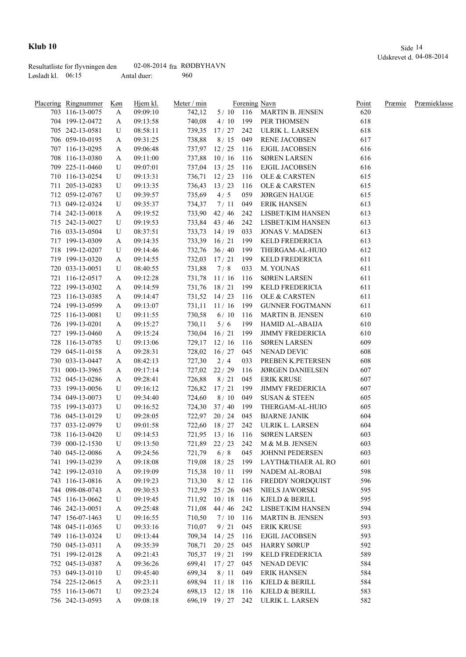|                     | Resultatliste for flyvningen den | 02-08-2014 $fra$ RØDBYHAVN |     |
|---------------------|----------------------------------|----------------------------|-----|
| Løsladt kl. $06:15$ |                                  | Antal duer:                | 960 |

| Placering Ringnummer | Køn    | Hjem kl. | Meter / min |                  |     | Forening Navn             | Point | Præmie | Præmieklasse |
|----------------------|--------|----------|-------------|------------------|-----|---------------------------|-------|--------|--------------|
| 703 116-13-0075      | A      | 09:09:10 | 742,12      |                  |     | 5/10 116 MARTIN B. JENSEN | 620   |        |              |
| 704 199-12-0472      | A      | 09:13:58 | 740,08      | 4/10             |     | 199 PER THOMSEN           | 618   |        |              |
| 705 242-13-0581      | U      | 08:58:11 |             | 739,35 17/27     | 242 | ULRIK L. LARSEN           | 618   |        |              |
| 706 059-10-0195      | A      | 09:31:25 | 738,88      | 8/15             | 049 | RENE JACOBSEN             | 617   |        |              |
| 707 116-13-0295      | A      | 09:06:48 |             | 737,97 12/25     | 116 | EJGIL JACOBSEN            | 616   |        |              |
| 708 116-13-0380      | A      | 09:11:00 |             | 737,88 10/16     | 116 | <b>SØREN LARSEN</b>       | 616   |        |              |
| 709 225-11-0460      | U      | 09:07:01 |             | $737,04$ 13 / 25 | 116 | EJGIL JACOBSEN            | 616   |        |              |
| 710 116-13-0254      | U      | 09:13:31 |             | 736,71 12/23     | 116 | OLE & CARSTEN             | 615   |        |              |
| 711 205-13-0283      | U      | 09:13:35 |             | $736,43$ $13/23$ | 116 | OLE & CARSTEN             | 615   |        |              |
| 712 059-12-0767      | U      | 09:39:57 | 735,69      | 4/5              | 059 | <b>JØRGEN HAUGE</b>       | 615   |        |              |
| 713 049-12-0324      | U      | 09:35:37 | 734,37      | 7/11             | 049 | <b>ERIK HANSEN</b>        | 613   |        |              |
| 714 242-13-0018      | A      | 09:19:52 |             | 733,90 42 / 46   | 242 | LISBET/KIM HANSEN         | 613   |        |              |
| 715 242-13-0027      | U      | 09:19:53 |             | 733,84 43 / 46   | 242 | LISBET/KIM HANSEN         | 613   |        |              |
| 716 033-13-0504      | U      | 08:37:51 | 733,73      | 14/19            | 033 | <b>JONAS V. MADSEN</b>    | 613   |        |              |
| 717 199-13-0309      | A      | 09:14:35 | 733,39      | 16/21            | 199 | <b>KELD FREDERICIA</b>    | 613   |        |              |
| 718 199-12-0207      | U      | 09:14:46 |             | 732,76 36/40     | 199 | THERGAM-AL-HUIO           | 612   |        |              |
| 719 199-13-0320      | A      | 09:14:55 | 732,03      | 17/21            | 199 | <b>KELD FREDERICIA</b>    | 611   |        |              |
| 720 033-13-0051      | U      | 08:40:55 | 731,88      | 7/8              | 033 | M. YOUNAS                 | 611   |        |              |
| 721 116-12-0517      | A      | 09:12:28 | 731,78      | 11/16            | 116 | <b>SØREN LARSEN</b>       | 611   |        |              |
| 722 199-13-0302      | A      | 09:14:59 | 731,76      | 18/21            | 199 | KELD FREDERICIA           | 611   |        |              |
| 723 116-13-0385      | A      | 09:14:47 |             | 731,52 14/23     | 116 | <b>OLE &amp; CARSTEN</b>  | 611   |        |              |
| 724 199-13-0599      | A      | 09:13:07 |             | $731,11$ $11/16$ | 199 | <b>GUNNER FOGTMANN</b>    | 611   |        |              |
| 725 116-13-0081      | U      | 09:11:55 | 730,58      | 6/10             | 116 | MARTIN B. JENSEN          | 610   |        |              |
| 726 199-13-0201      | A      | 09:15:27 | 730,11      | 5/6              | 199 | HAMID AL-ABAIJA           | 610   |        |              |
| 727 199-13-0460      | A      | 09:15:24 | 730,04      | 16/21            | 199 | <b>JIMMY FREDERICIA</b>   | 610   |        |              |
| 728 116-13-0785      | U      | 09:13:06 |             | $729,17$ $12/16$ | 116 | <b>SØREN LARSEN</b>       | 609   |        |              |
| 729 045-11-0158      |        | 09:28:31 |             | 728,02 16 / 27   | 045 | NENAD DEVIC               | 608   |        |              |
| 730 033-13-0447      | A<br>A | 08:42:13 | 727,30      | 2/4              | 033 | PREBEN K.PETERSEN         | 608   |        |              |
| 731 000-13-3965      |        | 09:17:14 |             | 727,02 22/29     | 116 | <b>JØRGEN DANIELSEN</b>   | 607   |        |              |
| 732 045-13-0286      | A      |          | 726,88      | 8/21             | 045 | <b>ERIK KRUSE</b>         | 607   |        |              |
|                      | A      | 09:28:41 |             |                  |     |                           |       |        |              |
| 733 199-13-0056      | U      | 09:16:12 | 726,82      | 17/21            | 199 | <b>JIMMY FREDERICIA</b>   | 607   |        |              |
| 734 049-13-0073      | U      | 09:34:40 | 724,60      | 8/10             | 049 | <b>SUSAN &amp; STEEN</b>  | 605   |        |              |
| 735 199-13-0373      | U      | 09:16:52 |             | 724,30 37/40     | 199 | THERGAM-AL-HUIO           | 605   |        |              |
| 736 045-13-0129      | U      | 09:28:05 |             | 722,97 20 / 24   | 045 | <b>BJARNE JANIK</b>       | 604   |        |              |
| 737 033-12-0979      | U      | 09:01:58 | 722,60      | 18/27            | 242 | ULRIK L. LARSEN           | 604   |        |              |
| 738 116-13-0420      | U      | 09:14:53 |             | $721,95$ $13/16$ | 116 | <b>SØREN LARSEN</b>       | 603   |        |              |
| 739 000-12-1530      | U      | 09:13:50 |             | 721,89 22/23 242 |     | M & M.B. JENSEN           | 603   |        |              |
| 740 045-12-0086      | A      | 09:24:56 | 721,79      | 6/8              | 045 | JOHNNI PEDERSEN           | 603   |        |              |
| 741 199-13-0239      | A      | 09:18:08 | 719,08      | 18/25            | 199 | LAYTH&THAER AL RO         | 601   |        |              |
| 742 199-12-0310      | A      | 09:19:09 |             | 715,38 10/11     | 199 | NADEM AL-ROBAI            | 598   |        |              |
| 743 116-13-0816      | A      | 09:19:23 | 713,30      | 8/12             | 116 | FREDDY NORDQUIST          | 596   |        |              |
| 744 098-08-0743      | A      | 09:30:53 |             | 712,59 25 / 26   | 045 | NIELS JAWORSKI            | 595   |        |              |
| 745 116-13-0662      | U      | 09:19:45 |             | 711,92 10/18     | 116 | KJELD & BERILL            | 595   |        |              |
| 746 242-13-0051      | A      | 09:25:48 | 711,08      | 44/46            | 242 | LISBET/KIM HANSEN         | 594   |        |              |
| 747 156-07-1463      | U      | 09:16:55 | 710,50      | 7/10             | 116 | <b>MARTIN B. JENSEN</b>   | 593   |        |              |
| 748 045-11-0365      | U      | 09:33:16 | 710,07      | 9/21             | 045 | <b>ERIK KRUSE</b>         | 593   |        |              |
| 749 116-13-0324      | U      | 09:13:44 | 709,34      | 14/25            | 116 | EJGIL JACOBSEN            | 593   |        |              |
| 750 045-13-0311      | A      | 09:35:39 | 708,71      | 20/25            | 045 | <b>HARRY SØRUP</b>        | 592   |        |              |
| 751 199-12-0128      | A      | 09:21:43 | 705,37      | 19/21            | 199 | KELD FREDERICIA           | 589   |        |              |
| 752 045-13-0387      | A      | 09:36:26 | 699,41      | 17/27            | 045 | NENAD DEVIC               | 584   |        |              |
| 753 049-13-0110      | U      | 09:45:40 | 699,34      | 8/11             | 049 | <b>ERIK HANSEN</b>        | 584   |        |              |
| 754 225-12-0615      | A      | 09:23:11 | 698,94      | 11/18            | 116 | KJELD & BERILL            | 584   |        |              |
| 755 116-13-0671      | U      | 09:23:24 | 698,13      | 12/18            | 116 | KJELD & BERILL            | 583   |        |              |
| 756 242-13-0593      | A      | 09:08:18 |             | 696,19 19/27 242 |     | ULRIK L. LARSEN           | 582   |        |              |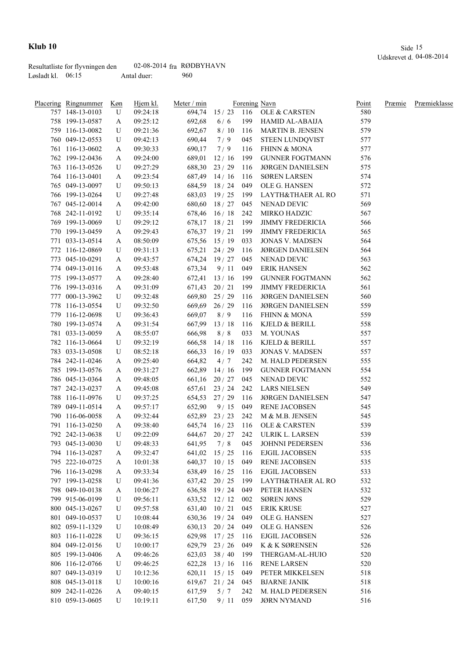|                     | Resultatliste for flyvningen den | 02-08-2014 $fra$ RØDBYHAVN |     |
|---------------------|----------------------------------|----------------------------|-----|
| Løsladt kl. $06:15$ |                                  | Antal duer:                | 960 |

| Placering Ringnummer               | <u>Køn</u> | Hjem kl.             | Meter / min |                                |            | Forening Navn                                 | Point      | Præmie | Præmieklasse |
|------------------------------------|------------|----------------------|-------------|--------------------------------|------------|-----------------------------------------------|------------|--------|--------------|
| 757 148-13-0103                    | U          | 09:24:18             | 694,74      |                                |            | 15 / 23 116 OLE & CARSTEN                     | 580        |        |              |
| 758 199-13-0587                    | A          | 09:25:12             | 692,68      | 6/6                            |            | 199 HAMID AL-ABAIJA                           | 579        |        |              |
| 759 116-13-0082                    | U          | 09:21:36             | 692,67      | 8/10                           |            | 116 MARTIN B. JENSEN                          | 579        |        |              |
| 760 049-12-0553                    | U          | 09:42:13             | 690,44      | 7/9                            | 045        | STEEN LUNDQVIST                               | 577        |        |              |
| 761 116-13-0602                    | A          | 09:30:33             | 690,17      | 7/9                            | 116        | FHINN & MONA                                  | 577        |        |              |
| 762 199-12-0436                    | A          | 09:24:00             | 689,01      | 12/16                          | 199        | <b>GUNNER FOGTMANN</b>                        | 576        |        |              |
| 763 116-13-0526                    | U          | 09:27:29             |             | 688,30 23 / 29                 | 116        | <b>JØRGEN DANIELSEN</b>                       | 575        |        |              |
| 764 116-13-0401                    | A          | 09:23:54             |             | 687,49 14 / 16                 | 116        | <b>SØREN LARSEN</b>                           | 574        |        |              |
| 765 049-13-0097                    | U          | 09:50:13             |             | 684,59 18 / 24                 | 049        | OLE G. HANSEN                                 | 572        |        |              |
| 766 199-13-0264                    | U          | 09:27:48             |             | 683,03 19/25                   | 199        | LAYTH&THAER AL RO                             | 571        |        |              |
| 767 045-12-0014                    | A          | 09:42:00             |             | 680,60 18 / 27 045             |            | NENAD DEVIC                                   | 569        |        |              |
| 768 242-11-0192                    | U          | 09:35:14             |             | 678,46 16 / 18 242             |            | MIRKO HADZIC                                  | 567        |        |              |
| 769 199-13-0069                    | U          | 09:29:12             |             | $678,17$ $18/21$               | 199        | <b>JIMMY FREDERICIA</b>                       | 566        |        |              |
| 770 199-13-0459                    | A          | 09:29:43             |             | 676,37 19/21                   | 199        | <b>JIMMY FREDERICIA</b>                       | 565        |        |              |
| 771 033-13-0514                    | A          | 08:50:09             |             | 675,56 15/19                   | 033        | <b>JONAS V. MADSEN</b>                        | 564        |        |              |
| 772 116-12-0869                    | U          | 09:31:13             |             | 675,21 24/29                   | 116        | <b>JØRGEN DANIELSEN</b>                       | 564        |        |              |
| 773 045-10-0291                    | A          | 09:43:57             |             | $674,24$ 19 / 27               | 045        | NENAD DEVIC                                   | 563        |        |              |
| 774 049-13-0116                    | A          | 09:53:48             | 673,34      | 9/11                           | 049        | <b>ERIK HANSEN</b>                            | 562        |        |              |
| 775 199-13-0577                    | A          | 09:28:40             | 672,41      | 13/16                          | 199        | <b>GUNNER FOGTMANN</b>                        | 562        |        |              |
| 776 199-13-0316                    | A          | 09:31:09             | 671,43      | 20/21                          | 199        | <b>JIMMY FREDERICIA</b>                       | 561        |        |              |
| 777 000-13-3962                    | U          | 09:32:48             | 669,80      | 25/29                          | 116        | <b>JØRGEN DANIELSEN</b>                       | 560        |        |              |
| 778 116-13-0554                    | U          | 09:32:50             | 669,69      | 26/29                          | 116        | <b>JØRGEN DANIELSEN</b>                       | 559        |        |              |
| 779 116-12-0698                    | U          | 09:36:43             | 669,07      | 8/9                            | 116        | <b>FHINN &amp; MONA</b>                       | 559        |        |              |
| 780 199-13-0574                    | A          | 09:31:54             | 667,99      | 13/18                          | 116        | KJELD & BERILL                                | 558        |        |              |
| 781 033-13-0059                    | A          | 08:55:07             | 666,98      | 8/8                            | 033        | M. YOUNAS                                     | 557        |        |              |
| 782 116-13-0664                    | U          | 09:32:19             |             | 666,58 14/18                   | 116        | KJELD & BERILL                                | 557        |        |              |
| 783 033-13-0508                    | U          | 08:52:18             |             | 666,33 16/19                   | 033        | <b>JONAS V. MADSEN</b>                        | 557        |        |              |
| 784 242-11-0246                    | A          | 09:25:40             | 664,82      | 4/7                            | 242        | M. HALD PEDERSEN                              | 555        |        |              |
| 785 199-13-0576                    | A          | 09:31:27             | 662,89      | 14/16                          | 199        | <b>GUNNER FOGTMANN</b>                        | 554        |        |              |
| 786 045-13-0364                    | A          | 09:48:05             | 661,16      | $20/27$ 045                    |            | NENAD DEVIC                                   | 552        |        |              |
| 787 242-13-0237                    | A          | 09:45:08             |             | $657,61$ 23 / 24               | 242        | LARS NIELSEN                                  | 549        |        |              |
| 788 116-11-0976                    | U          | 09:37:25             |             | 654,53 27/29                   | 116        | <b>JØRGEN DANIELSEN</b>                       | 547        |        |              |
| 789 049-11-0514                    | A          | 09:57:17             | 652,90      | 9/15                           | 049        | <b>RENE JACOBSEN</b>                          | 545        |        |              |
| 790 116-06-0058                    |            | 09:32:44             |             | 652,89 23 / 23                 | 242        | M & M.B. JENSEN                               | 545        |        |              |
| 791 116-13-0250                    | A          | 09:38:40             |             | 645,74 16/23                   | 116        | OLE & CARSTEN                                 | 539        |        |              |
| 792 242-13-0638                    | A<br>U     | 09:22:09             |             | 644,67 20 / 27                 | 242        | ULRIK L. LARSEN                               | 539        |        |              |
| 793 045-13-0030                    | U          | 09:48:33             | 641,95      | 7/8                            | 045        | JOHNNI PEDERSEN                               | 536        |        |              |
| 794 116-13-0287                    |            | 09:32:47             |             | $641,02$ 15 / 25               |            | <b>EJGIL JACOBSEN</b>                         | 535        |        |              |
| 795 222-10-0725                    | A          |                      |             |                                | 116        |                                               |            |        |              |
| 796 116-13-0298                    | A          | 10:01:38<br>09:33:34 |             | 640,37 10/15<br>638,49 16 / 25 | 049<br>116 | <b>RENE JACOBSEN</b><br><b>EJGIL JACOBSEN</b> | 535<br>533 |        |              |
| 797 199-13-0258                    | A          | 09:41:36             |             | 637,42 20 / 25                 |            | LAYTH&THAER AL RO                             | 532        |        |              |
|                                    | U          |                      |             | 636,58 19/24                   | 199        |                                               |            |        |              |
| 798 049-10-0138                    | A          | 10:06:27             |             |                                | 049        | PETER HANSEN                                  | 532        |        |              |
| 799 915-06-0199<br>800 045-13-0267 | U          | 09:56:11             |             | 633,52 12/12                   | 002        | <b>SØREN JØNS</b>                             | 529        |        |              |
|                                    | U          | 09:57:58             | 631,40      | 10/21                          | 045        | <b>ERIK KRUSE</b>                             | 527        |        |              |
| 801 049-10-0537                    | U          | 10:08:44             |             | 630,36 19/24                   | 049        | OLE G. HANSEN                                 | 527        |        |              |
| 802 059-11-1329                    | U          | 10:08:49             | 630,13      | 20/24                          | 049        | OLE G. HANSEN                                 | 526        |        |              |
| 803 116-11-0228                    | U          | 09:36:15             | 629,98      | 17/25                          | 116        | <b>EJGIL JACOBSEN</b>                         | 526        |        |              |
| 804 049-12-0156                    | U          | 10:00:17             | 629,79      | 23/26                          | 049        | K & K SØRENSEN                                | 526        |        |              |
| 805 199-13-0406                    | A          | 09:46:26             | 623,03      | 38/40                          | 199        | THERGAM-AL-HUIO                               | 520        |        |              |
| 806 116-12-0766                    | U          | 09:46:25             | 622,28      | 13/16                          | 116        | <b>RENE LARSEN</b>                            | 520        |        |              |
| 807 049-13-0319                    | U          | 10:12:36             | 620,11      | 15/15                          | 049        | PETER MIKKELSEN                               | 518        |        |              |
| 808 045-13-0118                    | U          | 10:00:16             | 619,67      | 21 / 24                        | 045        | <b>BJARNE JANIK</b>                           | 518        |        |              |
| 809 242-11-0226                    | A          | 09:40:15             | 617,59      | 5/7                            | 242        | M. HALD PEDERSEN                              | 516        |        |              |
| 810 059-13-0605                    | U          | 10:19:11             | 617,50      | 9/11                           | 059        | <b>JØRN NYMAND</b>                            | 516        |        |              |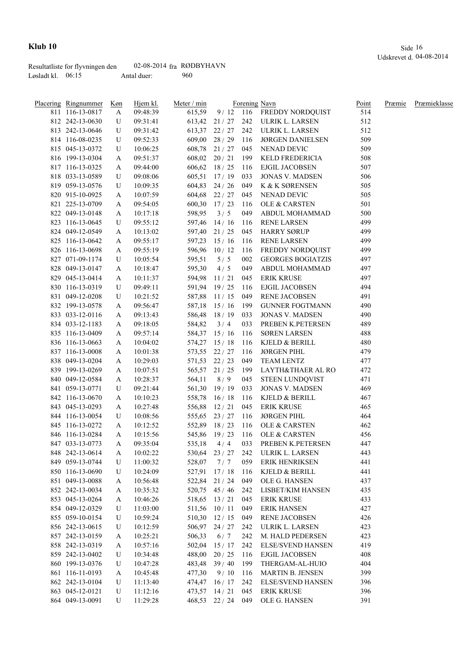|                     | Resultatliste for flyvningen den | 02-08-2014 $fra$ RØDBYHAVN |     |
|---------------------|----------------------------------|----------------------------|-----|
| Løsladt kl. $06:15$ |                                  | Antal duer:                | 960 |

| Placering Ringnummer | Køn | Hjem kl. | Meter / min |                    |     | Forening Navn                      | Point | Præmie | Præmieklasse |
|----------------------|-----|----------|-------------|--------------------|-----|------------------------------------|-------|--------|--------------|
| 811 116-13-0817      | A   | 09:48:39 | 615,59      |                    |     | 9/12 116 FREDDY NORDQUIST          | 514   |        |              |
| 812 242-13-0630      | U   | 09:31:41 |             |                    |     | 613,42 21 / 27 242 ULRIK L. LARSEN | 512   |        |              |
| 813 242-13-0646      | U   | 09:31:42 |             |                    |     | 613,37 22 / 27 242 ULRIK L. LARSEN | 512   |        |              |
| 814 116-08-0235      | U   | 09:52:33 |             | $609,00$ 28 / 29   | 116 | <b>JØRGEN DANIELSEN</b>            | 509   |        |              |
| 815 045-13-0372      | U   | 10:06:25 |             | 608,78 21 / 27 045 |     | NENAD DEVIC                        | 509   |        |              |
| 816 199-13-0304      | A   | 09:51:37 |             | $608,02$ 20 / 21   | 199 | KELD FREDERICIA                    | 508   |        |              |
| 817 116-13-0325      | A   | 09:44:00 | 606,62      | 18/25              | 116 | EJGIL JACOBSEN                     | 507   |        |              |
| 818 033-13-0589      | U   | 09:08:06 | 605,51      | 17/19              | 033 | <b>JONAS V. MADSEN</b>             | 506   |        |              |
| 819 059-13-0576      | U   | 10:09:35 |             | $604,83$ 24 / 26   | 049 | K & K SØRENSEN                     | 505   |        |              |
| 820 915-10-0925      | A   | 10:07:59 | 604,68      | 22 / 27            | 045 | NENAD DEVIC                        | 505   |        |              |
| 821 225-13-0709      | A   | 09:54:05 | 600,30      | 17/23              | 116 | OLE & CARSTEN                      | 501   |        |              |
| 822 049-13-0148      | A   | 10:17:18 | 598,95      | 3/5                | 049 | <b>ABDUL MOHAMMAD</b>              | 500   |        |              |
| 823 116-13-0645      | U   | 09:55:12 | 597,46      | 14/16              | 116 | <b>RENE LARSEN</b>                 | 499   |        |              |
| 824 049-12-0549      | A   | 10:13:02 | 597,40      | 21/25              | 045 | <b>HARRY SØRUP</b>                 | 499   |        |              |
| 825 116-13-0642      | A   | 09:55:17 | 597,23      | 15/16              | 116 | <b>RENE LARSEN</b>                 | 499   |        |              |
| 826 116-13-0698      | A   | 09:55:19 | 596,96      | 10/12              | 116 | FREDDY NORDQUIST                   | 499   |        |              |
| 827 071-09-1174      | U   | 10:05:54 | 595,51      | 5/5                | 002 | <b>GEORGES BOGIATZIS</b>           | 497   |        |              |
| 828 049-13-0147      | A   | 10:18:47 | 595,30      | 4/5                | 049 | ABDUL MOHAMMAD                     | 497   |        |              |
| 829 045-13-0414      |     | 10:11:37 | 594,98      | 11/21              | 045 | ERIK KRUSE                         | 497   |        |              |
|                      | A   |          |             |                    |     | EJGIL JACOBSEN                     | 494   |        |              |
| 830 116-13-0319      | U   | 09:49:11 | 591,94      | 19/25              | 116 |                                    |       |        |              |
| 831 049-12-0208      | U   | 10:21:52 |             | 587,88 11/15       | 049 | RENE JACOBSEN                      | 491   |        |              |
| 832 199-13-0578      | A   | 09:56:47 |             | 587,18 15 / 16     |     | 199 GUNNER FOGTMANN                | 490   |        |              |
| 833 033-12-0116      | A   | 09:13:43 |             | 586,48 18/19       | 033 | <b>JONAS V. MADSEN</b>             | 490   |        |              |
| 834 033-12-1183      | A   | 09:18:05 | 584,82      | 3/4                | 033 | PREBEN K.PETERSEN                  | 489   |        |              |
| 835 116-13-0409      | A   | 09:57:14 |             | 584,37 15 / 16     | 116 | <b>SØREN LARSEN</b>                | 488   |        |              |
| 836 116-13-0663      | A   | 10:04:02 |             | 574,27 15 / 18     | 116 | KJELD & BERILL                     | 480   |        |              |
| 837 116-13-0008      | A   | 10:01:38 |             | 573,55 22/27       | 116 | <b>JØRGEN PIHL</b>                 | 479   |        |              |
| 838 049-13-0204      | A   | 10:29:03 |             | 571,53 22/23       | 049 | TEAM LENTZ                         | 477   |        |              |
| 839 199-13-0269      | A   | 10:07:51 |             | 565,57 21/25       | 199 | LAYTH&THAER AL RO                  | 472   |        |              |
| 840 049-12-0584      | A   | 10:28:37 | 564,11      | 8/9                | 045 | STEEN LUNDQVIST                    | 471   |        |              |
| 841 059-13-0771      | U   | 09:21:44 |             | 561,30 19/19       | 033 | <b>JONAS V. MADSEN</b>             | 469   |        |              |
| 842 116-13-0670      | A   | 10:10:23 |             | 558,78 16/18       | 116 | KJELD & BERILL                     | 467   |        |              |
| 843 045-13-0293      | A   | 10:27:48 |             | 556,88 12/21       | 045 | <b>ERIK KRUSE</b>                  | 465   |        |              |
| 844 116-13-0054      | U   | 10:08:56 |             | 555,65 23 / 27 116 |     | <b>JØRGEN PIHL</b>                 | 464   |        |              |
| 845 116-13-0272      | A   | 10:12:52 |             | 552,89 18 / 23 116 |     | OLE & CARSTEN                      | 462   |        |              |
| 846 116-13-0284      | A   | 10:15:56 |             | 545,86 19/23       | 116 | OLE & CARSTEN                      | 456   |        |              |
| 847 033-13-0773      | A   | 09:35:04 | 535,18      | 4/4                | 033 | PREBEN K.PETERSEN                  | 447   |        |              |
| 848 242-13-0614      | A   | 10:02:22 | 530,64      | 23/27              | 242 | ULRIK L. LARSEN                    | 443   |        |              |
| 849 059-13-0744      | U   | 11:00:32 | 528,07      | 7/7                | 059 | ERIK HENRIKSEN                     | 441   |        |              |
| 850 116-13-0690      | U   | 10:24:09 | 527,91      | 17/18              | 116 | KJELD & BERILL                     | 441   |        |              |
| 851 049-13-0088      | A   | 10:56:48 |             | 522,84 21 / 24     | 049 | OLE G. HANSEN                      | 437   |        |              |
| 852 242-13-0034      | A   | 10:35:32 |             | 520,75 45 / 46     | 242 | LISBET/KIM HANSEN                  | 435   |        |              |
| 853 045-13-0264      | A   | 10:46:26 | 518,65      | 13/21              | 045 | <b>ERIK KRUSE</b>                  | 433   |        |              |
| 854 049-12-0329      | U   | 11:03:00 | 511,56      | 10/11              | 049 | <b>ERIK HANSEN</b>                 | 427   |        |              |
| 855 059-10-0154      | U   | 10:59:24 |             | 510,30 12/15       | 049 | RENE JACOBSEN                      | 426   |        |              |
| 856 242-13-0615      | U   | 10:12:59 |             | 506,97 24 / 27     | 242 | ULRIK L. LARSEN                    | 423   |        |              |
| 857 242-13-0159      | A   | 10:25:21 | 506,33      | 6/7                | 242 | M. HALD PEDERSEN                   | 423   |        |              |
| 858 242-13-0319      | A   | 10:57:16 | 502,04      | 15/17              | 242 | <b>ELSE/SVEND HANSEN</b>           | 419   |        |              |
| 859 242-13-0402      | U   | 10:34:48 | 488,00      | 20/25              | 116 | <b>EJGIL JACOBSEN</b>              | 408   |        |              |
| 860 199-13-0376      |     | 10:47:28 |             | 483,48 39 / 40     | 199 | THERGAM-AL-HUIO                    | 404   |        |              |
| 861 116-11-0193      | U   |          |             | 9/10               | 116 | <b>MARTIN B. JENSEN</b>            | 399   |        |              |
|                      | A   | 10:45:48 | 477,30      |                    |     |                                    |       |        |              |
| 862 242-13-0104      | U   | 11:13:40 | 474,47      | 16/17              | 242 | <b>ELSE/SVEND HANSEN</b>           | 396   |        |              |
| 863 045-12-0121      | U   | 11:12:16 |             | $473,57$ $14/21$   | 045 | <b>ERIK KRUSE</b>                  | 396   |        |              |
| 864 049-13-0091      | U   | 11:29:28 |             | 468,53 22 / 24 049 |     | OLE G. HANSEN                      | 391   |        |              |